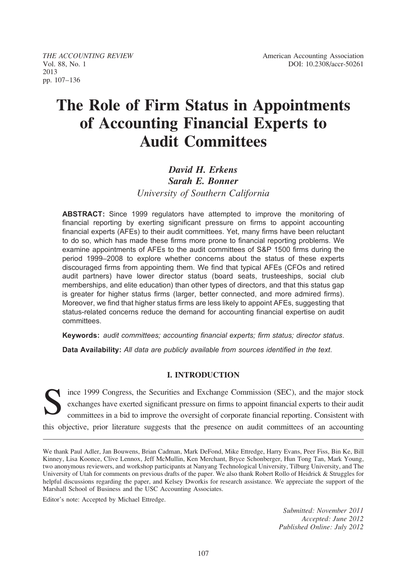2013 pp. 107–136

# The Role of Firm Status in Appointments of Accounting Financial Experts to Audit Committees

# David H. Erkens Sarah E. Bonner

University of Southern California

ABSTRACT: Since 1999 regulators have attempted to improve the monitoring of financial reporting by exerting significant pressure on firms to appoint accounting financial experts (AFEs) to their audit committees. Yet, many firms have been reluctant to do so, which has made these firms more prone to financial reporting problems. We examine appointments of AFEs to the audit committees of S&P 1500 firms during the period 1999–2008 to explore whether concerns about the status of these experts discouraged firms from appointing them. We find that typical AFEs (CFOs and retired audit partners) have lower director status (board seats, trusteeships, social club memberships, and elite education) than other types of directors, and that this status gap is greater for higher status firms (larger, better connected, and more admired firms). Moreover, we find that higher status firms are less likely to appoint AFEs, suggesting that status-related concerns reduce the demand for accounting financial expertise on audit committees.

Keywords: audit committees; accounting financial experts; firm status; director status.

Data Availability: All data are publicly available from sources identified in the text.

#### I. INTRODUCTION

ince 1999 Congress, the Securities and Exchange Commission (SEC), and the major stock exchanges have exerted significant pressure on firms to appoint financial experts to their audit committees in a bid to improve the oversight of corporate financial reporting. Consistent with this objective, prior literature suggests that the presence on audit committees of an accounting

Editor's note: Accepted by Michael Ettredge.

Submitted: November 2011 Accepted: June 2012 Published Online: July 2012

We thank Paul Adler, Jan Bouwens, Brian Cadman, Mark DeFond, Mike Ettredge, Harry Evans, Peer Fiss, Bin Ke, Bill Kinney, Lisa Koonce, Clive Lennox, Jeff McMullin, Ken Merchant, Bryce Schonberger, Hun Tong Tan, Mark Young, two anonymous reviewers, and workshop participants at Nanyang Technological University, Tilburg University, and The University of Utah for comments on previous drafts of the paper. We also thank Robert Rollo of Heidrick & Struggles for helpful discussions regarding the paper, and Kelsey Dworkis for research assistance. We appreciate the support of the Marshall School of Business and the USC Accounting Associates.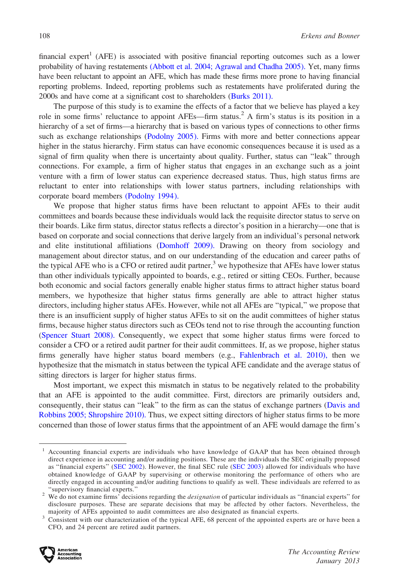financial expert<sup>1</sup> (AFE) is associated with positive financial reporting outcomes such as a lower probability of having restatements [\(Abbott et al. 2004; Agrawal and Chadha 2005\).](#page-24-0) Yet, many firms have been reluctant to appoint an AFE, which has made these firms more prone to having financial reporting problems. Indeed, reporting problems such as restatements have proliferated during the 2000s and have come at a significant cost to shareholders ([Burks 2011\).](#page-24-0)

The purpose of this study is to examine the effects of a factor that we believe has played a key role in some firms' reluctance to appoint AFEs—firm status.<sup>2</sup> A firm's status is its position in a hierarchy of a set of firms—a hierarchy that is based on various types of connections to other firms such as exchange relationships ([Podolny 2005\).](#page-26-0) Firms with more and better connections appear higher in the status hierarchy. Firm status can have economic consequences because it is used as a signal of firm quality when there is uncertainty about quality. Further, status can ''leak'' through connections. For example, a firm of higher status that engages in an exchange such as a joint venture with a firm of lower status can experience decreased status. Thus, high status firms are reluctant to enter into relationships with lower status partners, including relationships with corporate board members [\(Podolny 1994\).](#page-26-0)

We propose that higher status firms have been reluctant to appoint AFEs to their audit committees and boards because these individuals would lack the requisite director status to serve on their boards. Like firm status, director status reflects a director's position in a hierarchy—one that is based on corporate and social connections that derive largely from an individual's personal network and elite institutional affiliations ([Domhoff 2009\).](#page-25-0) Drawing on theory from sociology and management about director status, and on our understanding of the education and career paths of the typical AFE who is a CFO or retired audit partner, $3$  we hypothesize that AFEs have lower status than other individuals typically appointed to boards, e.g., retired or sitting CEOs. Further, because both economic and social factors generally enable higher status firms to attract higher status board members, we hypothesize that higher status firms generally are able to attract higher status directors, including higher status AFEs. However, while not all AFEs are ''typical,'' we propose that there is an insufficient supply of higher status AFEs to sit on the audit committees of higher status firms, because higher status directors such as CEOs tend not to rise through the accounting function [\(Spencer Stuart 2008\).](#page-26-0) Consequently, we expect that some higher status firms were forced to consider a CFO or a retired audit partner for their audit committees. If, as we propose, higher status firms generally have higher status board members (e.g., [Fahlenbrach et al. 2010\),](#page-25-0) then we hypothesize that the mismatch in status between the typical AFE candidate and the average status of sitting directors is larger for higher status firms.

Most important, we expect this mismatch in status to be negatively related to the probability that an AFE is appointed to the audit committee. First, directors are primarily outsiders and, consequently, their status can "leak" to the firm as can the status of exchange partners ([Davis and](#page-25-0) [Robbins 2005;](#page-25-0) [Shropshire 2010\).](#page-26-0) Thus, we expect sitting directors of higher status firms to be more concerned than those of lower status firms that the appointment of an AFE would damage the firm's

 $3$  Consistent with our characterization of the typical AFE, 68 percent of the appointed experts are or have been a CFO, and 24 percent are retired audit partners.



The Accounting Review January 2013

<sup>1</sup> Accounting financial experts are individuals who have knowledge of GAAP that has been obtained through direct experience in accounting and/or auditing positions. These are the individuals the SEC originally proposed as ''financial experts'' (SEC [2002\).](#page-26-0) However, the final SEC rule (SEC [2003\)](#page-26-0) allowed for individuals who have obtained knowledge of GAAP by supervising or otherwise monitoring the performance of others who are directly engaged in accounting and/or auditing functions to qualify as well. These individuals are referred to as "supervisory financial experts."

 $\frac{1}{2}$  We do not examine firms' decisions regarding the *designation* of particular individuals as "financial experts" for disclosure purposes. These are separate decisions that may be affected by other factors. Nevertheless, the majority of AFEs appointed to audit committees are also designated as financial experts.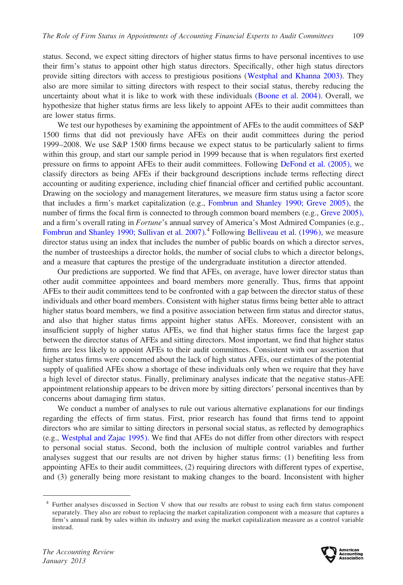status. Second, we expect sitting directors of higher status firms to have personal incentives to use their firm's status to appoint other high status directors. Specifically, other high status directors provide sitting directors with access to prestigious positions ([Westphal and Khanna 2003\).](#page-26-0) They also are more similar to sitting directors with respect to their social status, thereby reducing the uncertainty about what it is like to work with these individuals [\(Boone et al. 2004\).](#page-24-0) Overall, we hypothesize that higher status firms are less likely to appoint AFEs to their audit committees than are lower status firms.

We test our hypotheses by examining the appointment of AFEs to the audit committees of S&P 1500 firms that did not previously have AFEs on their audit committees during the period 1999–2008. We use S&P 1500 firms because we expect status to be particularly salient to firms within this group, and start our sample period in 1999 because that is when regulators first exerted pressure on firms to appoint AFEs to their audit committees. Following [DeFond et al. \(2005\),](#page-25-0) we classify directors as being AFEs if their background descriptions include terms reflecting direct accounting or auditing experience, including chief financial officer and certified public accountant. Drawing on the sociology and management literatures, we measure firm status using a factor score that includes a firm's market capitalization (e.g., [Fombrun and Shanley 1990; Greve 2005\),](#page-25-0) the number of firms the focal firm is connected to through common board members (e.g., [Greve 2005\),](#page-25-0) and a firm's overall rating in Fortune's annual survey of America's Most Admired Companies (e.g., [Fombrun and Shanley 1990;](#page-25-0) [Sullivan et al. 2007\).](#page-26-0)<sup>4</sup> Following [Belliveau et al. \(1996\),](#page-24-0) we measure director status using an index that includes the number of public boards on which a director serves, the number of trusteeships a director holds, the number of social clubs to which a director belongs, and a measure that captures the prestige of the undergraduate institution a director attended.

Our predictions are supported. We find that AFEs, on average, have lower director status than other audit committee appointees and board members more generally. Thus, firms that appoint AFEs to their audit committees tend to be confronted with a gap between the director status of these individuals and other board members. Consistent with higher status firms being better able to attract higher status board members, we find a positive association between firm status and director status, and also that higher status firms appoint higher status AFEs. Moreover, consistent with an insufficient supply of higher status AFEs, we find that higher status firms face the largest gap between the director status of AFEs and sitting directors. Most important, we find that higher status firms are less likely to appoint AFEs to their audit committees. Consistent with our assertion that higher status firms were concerned about the lack of high status AFEs, our estimates of the potential supply of qualified AFEs show a shortage of these individuals only when we require that they have a high level of director status. Finally, preliminary analyses indicate that the negative status-AFE appointment relationship appears to be driven more by sitting directors' personal incentives than by concerns about damaging firm status.

We conduct a number of analyses to rule out various alternative explanations for our findings regarding the effects of firm status. First, prior research has found that firms tend to appoint directors who are similar to sitting directors in personal social status, as reflected by demographics (e.g., [Westphal and Zajac 1995\).](#page-26-0) We find that AFEs do not differ from other directors with respect to personal social status. Second, both the inclusion of multiple control variables and further analyses suggest that our results are not driven by higher status firms: (1) benefiting less from appointing AFEs to their audit committees, (2) requiring directors with different types of expertise, and (3) generally being more resistant to making changes to the board. Inconsistent with higher

<sup>&</sup>lt;sup>4</sup> Further analyses discussed in Section V show that our results are robust to using each firm status component separately. They also are robust to replacing the market capitalization component with a measure that captures a firm's annual rank by sales within its industry and using the market capitalization measure as a control variable instead.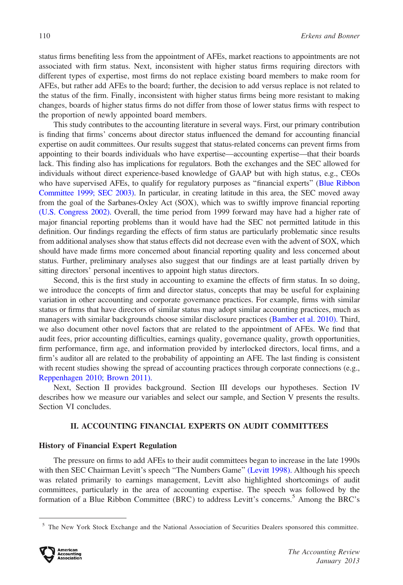status firms benefiting less from the appointment of AFEs, market reactions to appointments are not associated with firm status. Next, inconsistent with higher status firms requiring directors with different types of expertise, most firms do not replace existing board members to make room for AFEs, but rather add AFEs to the board; further, the decision to add versus replace is not related to the status of the firm. Finally, inconsistent with higher status firms being more resistant to making changes, boards of higher status firms do not differ from those of lower status firms with respect to the proportion of newly appointed board members.

This study contributes to the accounting literature in several ways. First, our primary contribution is finding that firms' concerns about director status influenced the demand for accounting financial expertise on audit committees. Our results suggest that status-related concerns can prevent firms from appointing to their boards individuals who have expertise—accounting expertise—that their boards lack. This finding also has implications for regulators. Both the exchanges and the SEC allowed for individuals without direct experience-based knowledge of GAAP but with high status, e.g., CEOs who have supervised AFEs, to qualify for regulatory purposes as "financial experts" ([Blue Ribbon](#page-24-0) [Committee](#page-24-0) 1999; SEC [2003\).](#page-26-0) In particular, in creating latitude in this area, the SEC moved away from the goal of the Sarbanes-Oxley Act (SOX), which was to swiftly improve financial reporting [\(U.S. Congress 2002\).](#page-26-0) Overall, the time period from 1999 forward may have had a higher rate of major financial reporting problems than it would have had the SEC not permitted latitude in this definition. Our findings regarding the effects of firm status are particularly problematic since results from additional analyses show that status effects did not decrease even with the advent of SOX, which should have made firms more concerned about financial reporting quality and less concerned about status. Further, preliminary analyses also suggest that our findings are at least partially driven by sitting directors' personal incentives to appoint high status directors.

Second, this is the first study in accounting to examine the effects of firm status. In so doing, we introduce the concepts of firm and director status, concepts that may be useful for explaining variation in other accounting and corporate governance practices. For example, firms with similar status or firms that have directors of similar status may adopt similar accounting practices, much as managers with similar backgrounds choose similar disclosure practices [\(Bamber et al. 2010\).](#page-24-0) Third, we also document other novel factors that are related to the appointment of AFEs. We find that audit fees, prior accounting difficulties, earnings quality, governance quality, growth opportunities, firm performance, firm age, and information provided by interlocked directors, local firms, and a firm's auditor all are related to the probability of appointing an AFE. The last finding is consistent with recent studies showing the spread of accounting practices through corporate connections (e.g., [Reppenhagen 2010;](#page-26-0) [Brown 2011\).](#page-24-0)

Next, Section II provides background. Section III develops our hypotheses. Section IV describes how we measure our variables and select our sample, and Section V presents the results. Section VI concludes.

#### II. ACCOUNTING FINANCIAL EXPERTS ON AUDIT COMMITTEES

#### History of Financial Expert Regulation

The pressure on firms to add AFEs to their audit committees began to increase in the late 1990s with then SEC Chairman Levitt's speech "The Numbers Game" [\(Levitt 1998\).](#page-25-0) Although his speech was related primarily to earnings management, Levitt also highlighted shortcomings of audit committees, particularly in the area of accounting expertise. The speech was followed by the formation of a Blue Ribbon Committee (BRC) to address Levitt's concerns.<sup>5</sup> Among the BRC's

<sup>&</sup>lt;sup>5</sup> The New York Stock Exchange and the National Association of Securities Dealers sponsored this committee.



The Accounting Review January 2013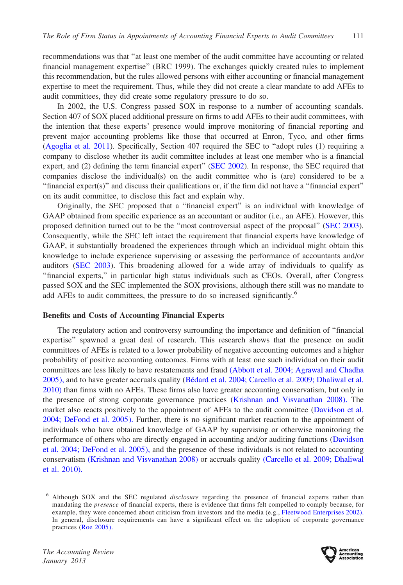recommendations was that ''at least one member of the audit committee have accounting or related financial management expertise'' (BRC 1999). The exchanges quickly created rules to implement this recommendation, but the rules allowed persons with either accounting or financial management expertise to meet the requirement. Thus, while they did not create a clear mandate to add AFEs to audit committees, they did create some regulatory pressure to do so.

In 2002, the U.S. Congress passed SOX in response to a number of accounting scandals. Section 407 of SOX placed additional pressure on firms to add AFEs to their audit committees, with the intention that these experts' presence would improve monitoring of financial reporting and prevent major accounting problems like those that occurred at Enron, Tyco, and other firms ([Agoglia](#page-24-0) et al. 2011). Specifically, Section 407 required the SEC to ''adopt rules (1) requiring a company to disclose whether its audit committee includes at least one member who is a financial expert, and (2) defining the term financial expert'' (SEC [2002\).](#page-26-0) In response, the SEC required that companies disclose the individual(s) on the audit committee who is (are) considered to be a ''financial expert(s)'' and discuss their qualifications or, if the firm did not have a ''financial expert'' on its audit committee, to disclose this fact and explain why.

Originally, the SEC proposed that a ''financial expert'' is an individual with knowledge of GAAP obtained from specific experience as an accountant or auditor (i.e., an AFE). However, this proposed definition turned out to be the ''most controversial aspect of the proposal'' (SEC [2003\).](#page-26-0) Consequently, while the SEC left intact the requirement that financial experts have knowledge of GAAP, it substantially broadened the experiences through which an individual might obtain this knowledge to include experience supervising or assessing the performance of accountants and/or auditors (SEC [2003\).](#page-26-0) This broadening allowed for a wide array of individuals to qualify as ''financial experts,'' in particular high status individuals such as CEOs. Overall, after Congress passed SOX and the SEC implemented the SOX provisions, although there still was no mandate to add AFEs to audit committees, the pressure to do so increased significantly.<sup>6</sup>

#### Benefits and Costs of Accounting Financial Experts

The regulatory action and controversy surrounding the importance and definition of ''financial expertise'' spawned a great deal of research. This research shows that the presence on audit committees of AFEs is related to a lower probability of negative accounting outcomes and a higher probability of positive accounting outcomes. Firms with at least one such individual on their audit committees are less likely to have restatements and fraud [\(Abbott et al. 2004; Agrawal and Chadha](#page-24-0) [2005\),](#page-24-0) and to have greater accruals quality (Bédard et al. 2004; [Carcello et al. 2009; Dhaliwal et al.](#page-25-0) [2010\)](#page-25-0) than firms with no AFEs. These firms also have greater accounting conservatism, but only in the presence of strong corporate governance practices ([Krishnan and Visvanathan 2008\).](#page-25-0) The market also reacts positively to the appointment of AFEs to the audit committee ([Davidson et al.](#page-25-0) [2004; DeFond et al. 2005\).](#page-25-0) Further, there is no significant market reaction to the appointment of individuals who have obtained knowledge of GAAP by supervising or otherwise monitoring the performance of others who are directly engaged in accounting and/or auditing functions ([Davidson](#page-25-0) [et al. 2004; DeFond et al. 2005\),](#page-25-0) and the presence of these individuals is not related to accounting conservatism [\(Krishnan and Visvanathan 2008\)](#page-25-0) or accruals quality [\(Carcello et al. 2009; Dhaliwal](#page-25-0) [et al. 2010\).](#page-25-0)

<sup>&</sup>lt;sup>6</sup> Although SOX and the SEC regulated *disclosure* regarding the presence of financial experts rather than mandating the *presence* of financial experts, there is evidence that firms felt compelled to comply because, for example, they were concerned about criticism from investors and the media (e.g., [Fleetwood Enterprises 2002\).](#page-25-0) In general, disclosure requirements can have a significant effect on the adoption of corporate governance practices ([Roe 2005\).](#page-26-0)

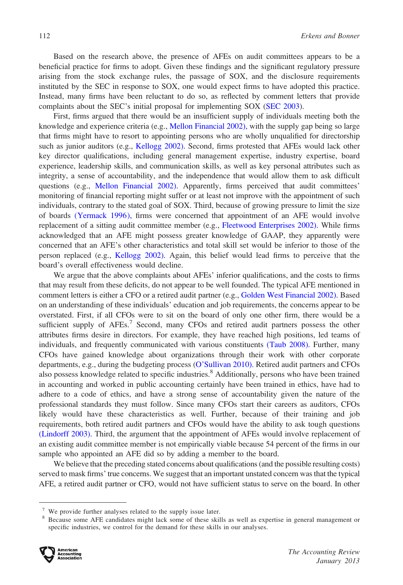Based on the research above, the presence of AFEs on audit committees appears to be a beneficial practice for firms to adopt. Given these findings and the significant regulatory pressure arising from the stock exchange rules, the passage of SOX, and the disclosure requirements instituted by the SEC in response to SOX, one would expect firms to have adopted this practice. Instead, many firms have been reluctant to do so, as reflected by comment letters that provide complaints about the SEC's initial proposal for implementing SOX (SEC [2003\).](#page-26-0)

First, firms argued that there would be an insufficient supply of individuals meeting both the knowledge and experience criteria (e.g., Mellon Financial  $2002$ ), with the supply gap being so large that firms might have to resort to appointing persons who are wholly unqualified for directorship such as junior auditors (e.g., [Kellogg 2002\).](#page-25-0) Second, firms protested that AFEs would lack other key director qualifications, including general management expertise, industry expertise, board experience, leadership skills, and communication skills, as well as key personal attributes such as integrity, a sense of accountability, and the independence that would allow them to ask difficult questions (e.g., [Mellon Financial 2002\).](#page-26-0) Apparently, firms perceived that audit committees' monitoring of financial reporting might suffer or at least not improve with the appointment of such individuals, contrary to the stated goal of SOX. Third, because of growing pressure to limit the size of boards [\(Yermack 1996\),](#page-26-0) firms were concerned that appointment of an AFE would involve replacement of a sitting audit committee member (e.g., [Fleetwood Enterprises 2002\).](#page-25-0) While firms acknowledged that an AFE might possess greater knowledge of GAAP, they apparently were concerned that an AFE's other characteristics and total skill set would be inferior to those of the person replaced (e.g., [Kellogg 2002\).](#page-25-0) Again, this belief would lead firms to perceive that the board's overall effectiveness would decline.

We argue that the above complaints about AFEs' inferior qualifications, and the costs to firms that may result from these deficits, do not appear to be well founded. The typical AFE mentioned in comment letters is either a CFO or a retired audit partner (e.g., [Golden West Financial 2002\).](#page-25-0) Based on an understanding of these individuals' education and job requirements, the concerns appear to be overstated. First, if all CFOs were to sit on the board of only one other firm, there would be a sufficient supply of  $AFEs$ .<sup>7</sup> Second, many CFOs and retired audit partners possess the other attributes firms desire in directors. For example, they have reached high positions, led teams of individuals, and frequently communicated with various constituents [\(Taub 2008\).](#page-26-0) Further, many CFOs have gained knowledge about organizations through their work with other corporate departments, e.g., during the budgeting process ([O'Sullivan 2010\).](#page-26-0) Retired audit partners and CFOs also possess knowledge related to specific industries.<sup>8</sup> Additionally, persons who have been trained in accounting and worked in public accounting certainly have been trained in ethics, have had to adhere to a code of ethics, and have a strong sense of accountability given the nature of the professional standards they must follow. Since many CFOs start their careers as auditors, CFOs likely would have these characteristics as well. Further, because of their training and job requirements, both retired audit partners and CFOs would have the ability to ask tough questions [\(Lindorff 2003\).](#page-26-0) Third, the argument that the appointment of AFEs would involve replacement of an existing audit committee member is not empirically viable because 54 percent of the firms in our sample who appointed an AFE did so by adding a member to the board.

We believe that the preceding stated concerns about qualifications (and the possible resulting costs) served to mask firms' true concerns. We suggest that an important unstated concern was that the typical AFE, a retired audit partner or CFO, would not have sufficient status to serve on the board. In other

<sup>&</sup>lt;sup>7</sup> We provide further analyses related to the supply issue later.<br><sup>8</sup> Because some AFE candidates might lack some of these skills as well as expertise in general management or specific industries, we control for the demand for these skills in our analyses.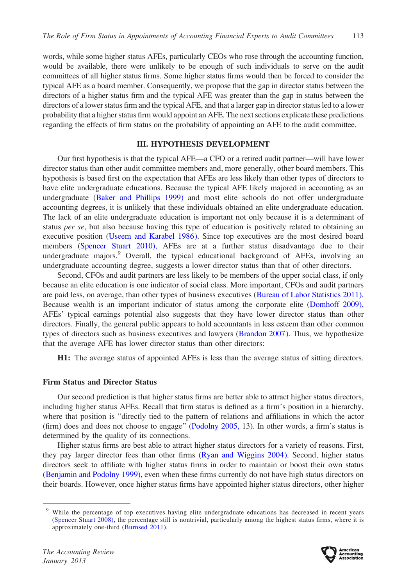words, while some higher status AFEs, particularly CEOs who rose through the accounting function, would be available, there were unlikely to be enough of such individuals to serve on the audit committees of all higher status firms. Some higher status firms would then be forced to consider the typical AFE as a board member. Consequently, we propose that the gap in director status between the directors of a higher status firm and the typical AFE was greater than the gap in status between the directors of a lower status firm and the typical AFE, and that a larger gap in director status led to a lower probability that a higher status firm would appoint an AFE. The next sections explicate these predictions regarding the effects of firm status on the probability of appointing an AFE to the audit committee.

#### III. HYPOTHESIS DEVELOPMENT

Our first hypothesis is that the typical AFE—a CFO or a retired audit partner—will have lower director status than other audit committee members and, more generally, other board members. This hypothesis is based first on the expectation that AFEs are less likely than other types of directors to have elite undergraduate educations. Because the typical AFE likely majored in accounting as an undergraduate ([Baker and Phillips 1999\)](#page-24-0) and most elite schools do not offer undergraduate accounting degrees, it is unlikely that these individuals obtained an elite undergraduate education. The lack of an elite undergraduate education is important not only because it is a determinant of status *per se*, but also because having this type of education is positively related to obtaining an executive position [\(Useem and Karabel 1986\)](#page-26-0). Since top executives are the most desired board members ([Spencer Stuart 2010\),](#page-26-0) AFEs are at a further status disadvantage due to their undergraduate majors.<sup>9</sup> Overall, the typical educational background of AFEs, involving an undergraduate accounting degree, suggests a lower director status than that of other directors.

Second, CFOs and audit partners are less likely to be members of the upper social class, if only because an elite education is one indicator of social class. More important, CFOs and audit partners are paid less, on average, than other types of business executives [\(Bureau of Labor Statistics 2011\).](#page-24-0) Because wealth is an important indicator of status among the corporate elite ([Domhoff 2009\),](#page-25-0) AFEs' typical earnings potential also suggests that they have lower director status than other directors. Finally, the general public appears to hold accountants in less esteem than other common types of directors such as business executives and lawyers [\(Brandon 2007\).](#page-24-0) Thus, we hypothesize that the average AFE has lower director status than other directors:

H1: The average status of appointed AFEs is less than the average status of sitting directors.

#### Firm Status and Director Status

Our second prediction is that higher status firms are better able to attract higher status directors, including higher status AFEs. Recall that firm status is defined as a firm's position in a hierarchy, where that position is ''directly tied to the pattern of relations and affiliations in which the actor (firm) does and does not choose to engage'' ([Podolny 2005,](#page-26-0) 13). In other words, a firm's status is determined by the quality of its connections.

Higher status firms are best able to attract higher status directors for a variety of reasons. First, they pay larger director fees than other firms ([Ryan and Wiggins 2004\).](#page-26-0) Second, higher status directors seek to affiliate with higher status firms in order to maintain or boost their own status ([Benjamin and Podolny 1999\),](#page-24-0) even when these firms currently do not have high status directors on their boards. However, once higher status firms have appointed higher status directors, other higher

<sup>&</sup>lt;sup>9</sup> While the percentage of top executives having elite undergraduate educations has decreased in recent years [\(Spencer Stuart 2008\),](#page-26-0) the percentage still is nontrivial, particularly among the highest status firms, where it is approximately one-third ([Burnsed 2011\).](#page-24-0)

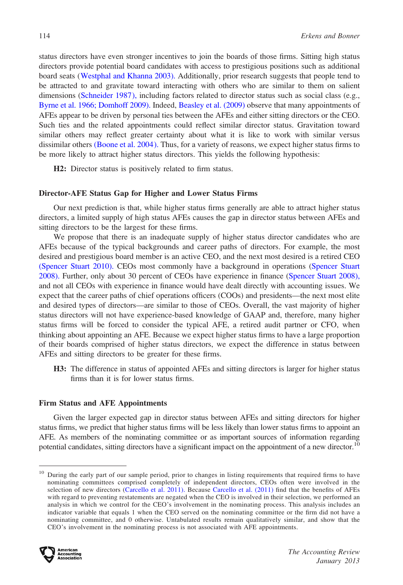status directors have even stronger incentives to join the boards of those firms. Sitting high status directors provide potential board candidates with access to prestigious positions such as additional board seats ([Westphal and Khanna 2003\).](#page-26-0) Additionally, prior research suggests that people tend to be attracted to and gravitate toward interacting with others who are similar to them on salient dimensions [\(Schneider 1987\),](#page-26-0) including factors related to director status such as social class (e.g., [Byrne et al. 1966; Domhoff 2009\).](#page-25-0) Indeed, [Beasley et al. \(2009\)](#page-24-0) observe that many appointments of AFEs appear to be driven by personal ties between the AFEs and either sitting directors or the CEO. Such ties and the related appointments could reflect similar director status. Gravitation toward similar others may reflect greater certainty about what it is like to work with similar versus dissimilar others [\(Boone et al. 2004\).](#page-24-0) Thus, for a variety of reasons, we expect higher status firms to be more likely to attract higher status directors. This yields the following hypothesis:

H2: Director status is positively related to firm status.

#### Director-AFE Status Gap for Higher and Lower Status Firms

Our next prediction is that, while higher status firms generally are able to attract higher status directors, a limited supply of high status AFEs causes the gap in director status between AFEs and sitting directors to be the largest for these firms.

We propose that there is an inadequate supply of higher status director candidates who are AFEs because of the typical backgrounds and career paths of directors. For example, the most desired and prestigious board member is an active CEO, and the next most desired is a retired CEO [\(Spencer Stuart 2010\).](#page-26-0) CEOs most commonly have a background in operations [\(Spencer Stuart](#page-26-0) [2008\).](#page-26-0) Further, only about 30 percent of CEOs have experience in finance ([Spencer Stuart 2008\),](#page-26-0) and not all CEOs with experience in finance would have dealt directly with accounting issues. We expect that the career paths of chief operations officers (COOs) and presidents—the next most elite and desired types of directors—are similar to those of CEOs. Overall, the vast majority of higher status directors will not have experience-based knowledge of GAAP and, therefore, many higher status firms will be forced to consider the typical AFE, a retired audit partner or CFO, when thinking about appointing an AFE. Because we expect higher status firms to have a large proportion of their boards comprised of higher status directors, we expect the difference in status between AFEs and sitting directors to be greater for these firms.

H3: The difference in status of appointed AFEs and sitting directors is larger for higher status firms than it is for lower status firms.

#### Firm Status and AFE Appointments

Given the larger expected gap in director status between AFEs and sitting directors for higher status firms, we predict that higher status firms will be less likely than lower status firms to appoint an AFE. As members of the nominating committee or as important sources of information regarding potential candidates, sitting directors have a significant impact on the appointment of a new director.<sup>10</sup>

<sup>&</sup>lt;sup>10</sup> During the early part of our sample period, prior to changes in listing requirements that required firms to have nominating committees comprised completely of independent directors, CEOs often were involved in the selection of new directors ([Carcello et al. 2011\).](#page-25-0) Because [Carcello et al. \(2011\)](#page-25-0) find that the benefits of AFEs with regard to preventing restatements are negated when the CEO is involved in their selection, we performed an analysis in which we control for the CEO's involvement in the nominating process. This analysis includes an indicator variable that equals 1 when the CEO served on the nominating committee or the firm did not have a nominating committee, and 0 otherwise. Untabulated results remain qualitatively similar, and show that the CEO's involvement in the nominating process is not associated with AFE appointments.



The Accounting Review January 2013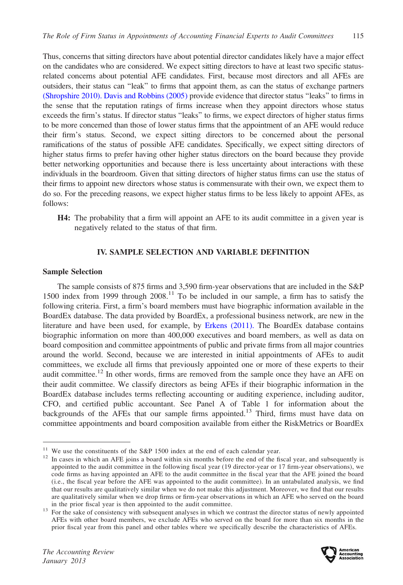Thus, concerns that sitting directors have about potential director candidates likely have a major effect on the candidates who are considered. We expect sitting directors to have at least two specific statusrelated concerns about potential AFE candidates. First, because most directors and all AFEs are outsiders, their status can ''leak'' to firms that appoint them, as can the status of exchange partners [\(Shropshire 2010\).](#page-26-0) [Davis and Robbins \(2005\)](#page-25-0) provide evidence that director status ''leaks'' to firms in the sense that the reputation ratings of firms increase when they appoint directors whose status exceeds the firm's status. If director status ''leaks'' to firms, we expect directors of higher status firms to be more concerned than those of lower status firms that the appointment of an AFE would reduce their firm's status. Second, we expect sitting directors to be concerned about the personal ramifications of the status of possible AFE candidates. Specifically, we expect sitting directors of higher status firms to prefer having other higher status directors on the board because they provide better networking opportunities and because there is less uncertainty about interactions with these individuals in the boardroom. Given that sitting directors of higher status firms can use the status of their firms to appoint new directors whose status is commensurate with their own, we expect them to do so. For the preceding reasons, we expect higher status firms to be less likely to appoint AFEs, as follows:

H4: The probability that a firm will appoint an AFE to its audit committee in a given year is negatively related to the status of that firm.

#### IV. SAMPLE SELECTION AND VARIABLE DEFINITION

#### Sample Selection

The sample consists of 875 firms and 3,590 firm-year observations that are included in the S&P 1500 index from 1999 through 2008.<sup>11</sup> To be included in our sample, a firm has to satisfy the following criteria. First, a firm's board members must have biographic information available in the BoardEx database. The data provided by BoardEx, a professional business network, are new in the literature and have been used, for example, by [Erkens \(2011\).](#page-25-0) The BoardEx database contains biographic information on more than 400,000 executives and board members, as well as data on board composition and committee appointments of public and private firms from all major countries around the world. Second, because we are interested in initial appointments of AFEs to audit committees, we exclude all firms that previously appointed one or more of these experts to their audit committee.<sup>12</sup> In other words, firms are removed from the sample once they have an AFE on their audit committee. We classify directors as being AFEs if their biographic information in the BoardEx database includes terms reflecting accounting or auditing experience, including auditor, CFO, and certified public accountant. See Panel A of Table 1 for information about the backgrounds of the AFEs that our sample firms appointed.<sup>13</sup> Third, firms must have data on committee appointments and board composition available from either the RiskMetrics or BoardEx



<sup>&</sup>lt;sup>11</sup> We use the constituents of the S&P 1500 index at the end of each calendar year.<br><sup>12</sup> In cases in which an AFE joins a board within six months before the end of the fiscal year, and subsequently is appointed to the audit committee in the following fiscal year (19 director-year or 17 firm-year observations), we code firms as having appointed an AFE to the audit committee in the fiscal year that the AFE joined the board (i.e., the fiscal year before the AFE was appointed to the audit committee). In an untabulated analysis, we find that our results are qualitatively similar when we do not make this adjustment. Moreover, we find that our results are qualitatively similar when we drop firms or firm-year observations in which an AFE who served on the board

in the prior fiscal year is then appointed to the audit committee.<br>13 For the sake of consistency with subsequent analyses in which we contrast the director status of newly appointed AFEs with other board members, we exclude AFEs who served on the board for more than six months in the prior fiscal year from this panel and other tables where we specifically describe the characteristics of AFEs.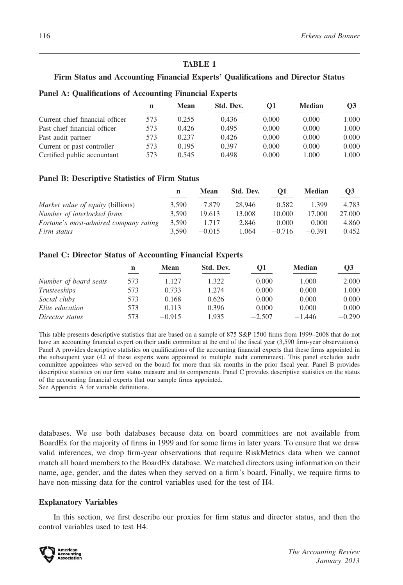# TABLE 1

# Firm Status and Accounting Financial Experts' Qualifications and Director Status

# Panel A: Qualifications of Accounting Financial Experts

|                                 | n   | <b>Mean</b> | Std. Dev. | <b>O1</b> | <b>Median</b> | Q3    |
|---------------------------------|-----|-------------|-----------|-----------|---------------|-------|
| Current chief financial officer | 573 | 0.255       | 0.436     | 0.000     | 0.000         | 1.000 |
| Past chief financial officer    | 573 | 0.426       | 0.495     | 0.000     | 0.000         | 1.000 |
| Past audit partner              | 573 | 0.237       | 0.426     | 0.000     | 0.000         | 0.000 |
| Current or past controller      | 573 | 0.195       | 0.397     | 0.000     | 0.000         | 0.000 |
| Certified public accountant     | 573 | 0.545       | 0.498     | 0.000     | 1.000         | 1.000 |

### Panel B: Descriptive Statistics of Firm Status

|                                          | n     | <b>Mean</b> | Std. Dev. | 01       | <b>Median</b> | O3     |
|------------------------------------------|-------|-------------|-----------|----------|---------------|--------|
| <i>Market value of equity (billions)</i> | 3.590 | 7.879       | 28.946    | 0.582    | 1.399         | 4.783  |
| Number of interlocked firms              | 3.590 | 19.613      | 13.008    | 10.000   | 17.000        | 27,000 |
| Fortune's most-admired company rating    | 3.590 | 1.717       | 2.846     | 0.000    | 0.000         | 4.860  |
| Firm status                              | 3.590 | $-0.015$    | 1.064     | $-0.716$ | $-0.391$      | 0.452  |

### Panel C: Director Status of Accounting Financial Experts

|                       | n   | <b>Mean</b> | Std. Dev. | О1       | <b>Median</b> | Q3       |
|-----------------------|-----|-------------|-----------|----------|---------------|----------|
| Number of board seats | 573 | 1.127       | 1.322     | 0.000    | 1.000         | 2.000    |
| <i>Trusteeships</i>   | 573 | 0.733       | 1.274     | 0.000    | 0.000         | 1.000    |
| Social clubs          | 573 | 0.168       | 0.626     | 0.000    | 0.000         | 0.000    |
| Elite education       | 573 | 0.113       | 0.396     | 0.000    | 0.000         | 0.000    |
| Director status       | 573 | $-0.915$    | 1.935     | $-2.507$ | $-1.446$      | $-0.290$ |

This table presents descriptive statistics that are based on a sample of 875 S&P 1500 firms from 1999–2008 that do not have an accounting financial expert on their audit committee at the end of the fiscal year (3,590 firm-year observations). Panel A provides descriptive statistics on qualifications of the accounting financial experts that these firms appointed in the subsequent year (42 of these experts were appointed to multiple audit committees). This panel excludes audit committee appointees who served on the board for more than six months in the prior fiscal year. Panel B provides descriptive statistics on our firm status measure and its components. Panel C provides descriptive statistics on the status of the accounting financial experts that our sample firms appointed. See Appendix A for variable definitions.

databases. We use both databases because data on board committees are not available from BoardEx for the majority of firms in 1999 and for some firms in later years. To ensure that we draw valid inferences, we drop firm-year observations that require RiskMetrics data when we cannot match all board members to the BoardEx database. We matched directors using information on their name, age, gender, and the dates when they served on a firm's board. Finally, we require firms to have non-missing data for the control variables used for the test of H4.

### Explanatory Variables

In this section, we first describe our proxies for firm status and director status, and then the control variables used to test H4.

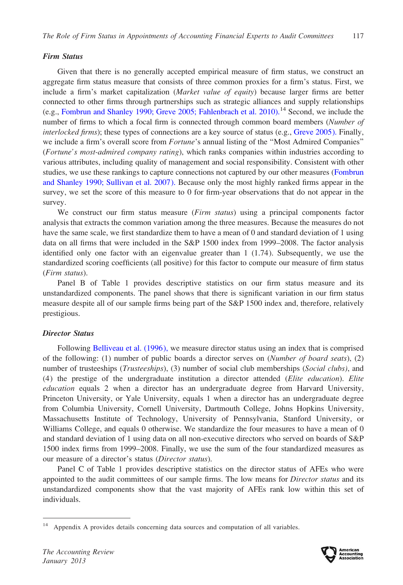### Firm Status

Given that there is no generally accepted empirical measure of firm status, we construct an aggregate firm status measure that consists of three common proxies for a firm's status. First, we include a firm's market capitalization (Market value of equity) because larger firms are better connected to other firms through partnerships such as strategic alliances and supply relationships (e.g., [Fombrun and Shanley 1990; Greve 2005; Fahlenbrach et al. 2010\).](#page-25-0)<sup>14</sup> Second, we include the number of firms to which a focal firm is connected through common board members (Number of interlocked firms); these types of connections are a key source of status (e.g., [Greve 2005\).](#page-25-0) Finally, we include a firm's overall score from *Fortune's* annual listing of the "Most Admired Companies" (Fortune's most-admired company rating), which ranks companies within industries according to various attributes, including quality of management and social responsibility. Consistent with other studies, we use these rankings to capture connections not captured by our other measures ([Fombrun](#page-25-0) [and Shanley 1990;](#page-25-0) [Sullivan et al. 2007\).](#page-26-0) Because only the most highly ranked firms appear in the survey, we set the score of this measure to 0 for firm-year observations that do not appear in the survey.

We construct our firm status measure (*Firm status*) using a principal components factor analysis that extracts the common variation among the three measures. Because the measures do not have the same scale, we first standardize them to have a mean of 0 and standard deviation of 1 using data on all firms that were included in the S&P 1500 index from 1999–2008. The factor analysis identified only one factor with an eigenvalue greater than 1 (1.74). Subsequently, we use the standardized scoring coefficients (all positive) for this factor to compute our measure of firm status (Firm status).

Panel B of Table 1 provides descriptive statistics on our firm status measure and its unstandardized components. The panel shows that there is significant variation in our firm status measure despite all of our sample firms being part of the S&P 1500 index and, therefore, relatively prestigious.

# Director Status

Following [Belliveau et al. \(1996\),](#page-24-0) we measure director status using an index that is comprised of the following: (1) number of public boards a director serves on (Number of board seats), (2) number of trusteeships (*Trusteeships*), (3) number of social club memberships (*Social clubs*), and (4) the prestige of the undergraduate institution a director attended (Elite education). Elite education equals 2 when a director has an undergraduate degree from Harvard University, Princeton University, or Yale University, equals 1 when a director has an undergraduate degree from Columbia University, Cornell University, Dartmouth College, Johns Hopkins University, Massachusetts Institute of Technology, University of Pennsylvania, Stanford University, or Williams College, and equals 0 otherwise. We standardize the four measures to have a mean of 0 and standard deviation of 1 using data on all non-executive directors who served on boards of S&P 1500 index firms from 1999–2008. Finally, we use the sum of the four standardized measures as our measure of a director's status (Director status).

Panel C of Table 1 provides descriptive statistics on the director status of AFEs who were appointed to the audit committees of our sample firms. The low means for *Director status* and its unstandardized components show that the vast majority of AFEs rank low within this set of individuals.



Appendix A provides details concerning data sources and computation of all variables.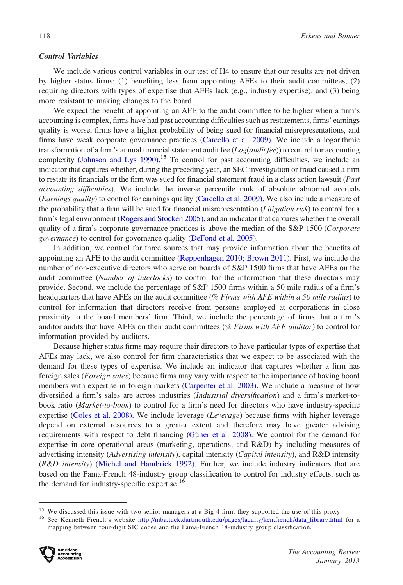#### Control Variables

We include various control variables in our test of H4 to ensure that our results are not driven by higher status firms: (1) benefiting less from appointing AFEs to their audit committees, (2) requiring directors with types of expertise that AFEs lack (e.g., industry expertise), and (3) being more resistant to making changes to the board.

We expect the benefit of appointing an AFE to the audit committee to be higher when a firm's accounting is complex, firms have had past accounting difficulties such as restatements, firms' earnings quality is worse, firms have a higher probability of being sued for financial misrepresentations, and firms have weak corporate governance practices [\(Carcello et al. 2009\).](#page-25-0) We include a logarithmic transformation of a firm's annual financial statement audit fee ( $Log(audit fee)$ ) to control for accounting complexity (Johnson and Lys  $1990$ ).<sup>15</sup> To control for past accounting difficulties, we include an indicator that captures whether, during the preceding year, an SEC investigation or fraud caused a firm to restate its financials or the firm was sued for financial statement fraud in a class action lawsuit ( $Fast$ ) accounting difficulties). We include the inverse percentile rank of absolute abnormal accruals (Earnings quality) to control for earnings quality [\(Carcello et al. 2009\).](#page-25-0) We also include a measure of the probability that a firm will be sued for financial misrepresentation (Litigation risk) to control for a firm's legal environment ([Rogers and Stocken 2005\),](#page-26-0) and an indicator that captures whether the overall quality of a firm's corporate governance practices is above the median of the S&P 1500 (Corporate governance) to control for governance quality ([DeFond et al. 2005\).](#page-25-0)

In addition, we control for three sources that may provide information about the benefits of appointing an AFE to the audit committee [\(Reppenhagen 2010;](#page-26-0) [Brown 2011\).](#page-24-0) First, we include the number of non-executive directors who serve on boards of S&P 1500 firms that have AFEs on the audit committee (Number of interlocks) to control for the information that these directors may provide. Second, we include the percentage of S&P 1500 firms within a 50 mile radius of a firm's headquarters that have AFEs on the audit committee ( $\%$  Firms with AFE within a 50 mile radius) to control for information that directors receive from persons employed at corporations in close proximity to the board members' firm. Third, we include the percentage of firms that a firm's auditor audits that have AFEs on their audit committees ( $%$  Firms with AFE auditor) to control for information provided by auditors.

Because higher status firms may require their directors to have particular types of expertise that AFEs may lack, we also control for firm characteristics that we expect to be associated with the demand for these types of expertise. We include an indicator that captures whether a firm has foreign sales (*Foreign sales*) because firms may vary with respect to the importance of having board members with expertise in foreign markets ([Carpenter et al. 2003\).](#page-25-0) We include a measure of how diversified a firm's sales are across industries (Industrial diversification) and a firm's market-tobook ratio (*Market-to-book*) to control for a firm's need for directors who have industry-specific expertise ([Coles et al. 2008\).](#page-25-0) We include leverage (*Leverage*) because firms with higher leverage depend on external resources to a greater extent and therefore may have greater advising requirements with respect to debt financing (Güner et al. 2008). We control for the demand for expertise in core operational areas (marketing, operations, and R&D) by including measures of advertising intensity (Advertising intensity), capital intensity (Capital intensity), and R&D intensity (R&D intensity) ([Michel and Hambrick 1992\).](#page-26-0) Further, we include industry indicators that are based on the Fama-French 48-industry group classification to control for industry effects, such as the demand for industry-specific expertise.<sup>16</sup>

<sup>&</sup>lt;sup>15</sup> We discussed this issue with two senior managers at a Big 4 firm; they supported the use of this proxy.<br><sup>16</sup> See Kenneth French's website [http://mba.tuck.dartmouth.edu/pages/faculty/ken.french/data\\_library.html](http://mba.tuck.dartmouth.edu/pages/faculty/ken.french/data_library.html) for a mapping between four-digit SIC codes and the Fama-French 48-industry group classification.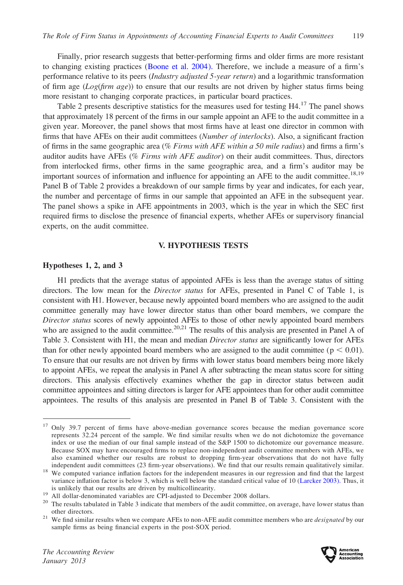Finally, prior research suggests that better-performing firms and older firms are more resistant to changing existing practices ([Boone et al. 2004\).](#page-24-0) Therefore, we include a measure of a firm's performance relative to its peers (Industry adjusted 5-year return) and a logarithmic transformation of firm age  $(Log(firm \, age))$  to ensure that our results are not driven by higher status firms being more resistant to changing corporate practices, in particular board practices.

Table 2 presents descriptive statistics for the measures used for testing H4.<sup>17</sup> The panel shows that approximately 18 percent of the firms in our sample appoint an AFE to the audit committee in a given year. Moreover, the panel shows that most firms have at least one director in common with firms that have AFEs on their audit committees (Number of interlocks). Also, a significant fraction of firms in the same geographic area (% Firms with AFE within a 50 mile radius) and firms a firm's auditor audits have AFEs (% Firms with AFE auditor) on their audit committees. Thus, directors from interlocked firms, other firms in the same geographic area, and a firm's auditor may be important sources of information and influence for appointing an AFE to the audit committee.<sup>18,19</sup> Panel B of Table 2 provides a breakdown of our sample firms by year and indicates, for each year, the number and percentage of firms in our sample that appointed an AFE in the subsequent year. The panel shows a spike in AFE appointments in 2003, which is the year in which the SEC first required firms to disclose the presence of financial experts, whether AFEs or supervisory financial experts, on the audit committee.

#### V. HYPOTHESIS TESTS

#### Hypotheses 1, 2, and 3

H1 predicts that the average status of appointed AFEs is less than the average status of sitting directors. The low mean for the *Director status* for AFEs, presented in Panel C of Table 1, is consistent with H1. However, because newly appointed board members who are assigned to the audit committee generally may have lower director status than other board members, we compare the Director status scores of newly appointed AFEs to those of other newly appointed board members who are assigned to the audit committee.<sup>20,21</sup> The results of this analysis are presented in Panel A of Table 3. Consistent with H1, the mean and median *Director status* are significantly lower for AFEs than for other newly appointed board members who are assigned to the audit committee ( $p < 0.01$ ). To ensure that our results are not driven by firms with lower status board members being more likely to appoint AFEs, we repeat the analysis in Panel A after subtracting the mean status score for sitting directors. This analysis effectively examines whether the gap in director status between audit committee appointees and sitting directors is larger for AFE appointees than for other audit committee appointees. The results of this analysis are presented in Panel B of Table 3. Consistent with the



<sup>&</sup>lt;sup>17</sup> Only 39.7 percent of firms have above-median governance scores because the median governance score represents 32.24 percent of the sample. We find similar results when we do not dichotomize the governance index or use the median of our final sample instead of the S&P 1500 to dichotomize our governance measure. Because SOX may have encouraged firms to replace non-independent audit committee members with AFEs, we also examined whether our results are robust to dropping firm-year observations that do not have fully

independent audit committees (23 firm-year observations). We find that our results remain qualitatively similar.<br><sup>18</sup> We computed variance inflation factors for the independent measures in our regression and find that the variance inflation factor is below 3, which is well below the standard critical value of 10 ([Larcker 2003\).](#page-25-0) Thus, it is unlikely that our results are driven by multicollinearity.

<sup>&</sup>lt;sup>19</sup> All dollar-denominated variables are CPI-adjusted to December 2008 dollars.<br><sup>20</sup> The results tabulated in Table 3 indicate that members of the audit committee, on average, have lower status than other directors.

 $21$  We find similar results when we compare AFEs to non-AFE audit committee members who are *designated* by our sample firms as being financial experts in the post-SOX period.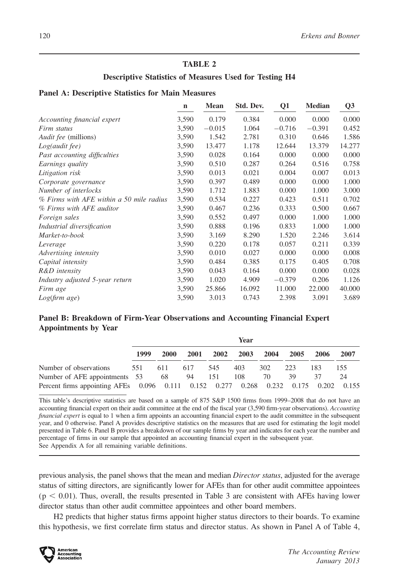# TABLE 2

#### Descriptive Statistics of Measures Used for Testing H4

### Panel A: Descriptive Statistics for Main Measures

|                                          | $\mathbf n$ | Mean     | Std. Dev. | Q1       | Median   | Q <sub>3</sub> |
|------------------------------------------|-------------|----------|-----------|----------|----------|----------------|
| Accounting financial expert              | 3,590       | 0.179    | 0.384     | 0.000    | 0.000    | 0.000          |
| Firm status                              | 3,590       | $-0.015$ | 1.064     | $-0.716$ | $-0.391$ | 0.452          |
| <i>Audit fee</i> (millions)              | 3,590       | 1.542    | 2.781     | 0.310    | 0.646    | 1.586          |
| $Log(audit\,fee)$                        | 3,590       | 13.477   | 1.178     | 12.644   | 13.379   | 14.277         |
| Past accounting difficulties             | 3,590       | 0.028    | 0.164     | 0.000    | 0.000    | 0.000          |
| Earnings quality                         | 3,590       | 0.510    | 0.287     | 0.264    | 0.516    | 0.758          |
| Litigation risk                          | 3,590       | 0.013    | 0.021     | 0.004    | 0.007    | 0.013          |
| Corporate governance                     | 3,590       | 0.397    | 0.489     | 0.000    | 0.000    | 1.000          |
| Number of interlocks                     | 3,590       | 1.712    | 1.883     | 0.000    | 1.000    | 3.000          |
| % Firms with AFE within a 50 mile radius | 3,590       | 0.534    | 0.227     | 0.423    | 0.511    | 0.702          |
| % Firms with AFE auditor                 | 3,590       | 0.467    | 0.236     | 0.333    | 0.500    | 0.667          |
| Foreign sales                            | 3,590       | 0.552    | 0.497     | 0.000    | 1.000    | 1.000          |
| Industrial diversification               | 3,590       | 0.888    | 0.196     | 0.833    | 1.000    | 1.000          |
| Market-to-book                           | 3,590       | 3.169    | 8.290     | 1.520    | 2.246    | 3.614          |
| Leverage                                 | 3,590       | 0.220    | 0.178     | 0.057    | 0.211    | 0.339          |
| Advertising intensity                    | 3,590       | 0.010    | 0.027     | 0.000    | 0.000    | 0.008          |
| Capital intensity                        | 3,590       | 0.484    | 0.385     | 0.175    | 0.405    | 0.708          |
| R&D intensity                            | 3,590       | 0.043    | 0.164     | 0.000    | 0.000    | 0.028          |
| Industry adjusted 5-year return          | 3,590       | 1.020    | 4.909     | $-0.379$ | 0.206    | 1.126          |
| Firm age                                 | 3,590       | 25.866   | 16.092    | 11.000   | 22.000   | 40.000         |
| $Log(firm \, age)$                       | 3,590       | 3.013    | 0.743     | 2.398    | 3.091    | 3.689          |

# Panel B: Breakdown of Firm-Year Observations and Accounting Financial Expert Appointments by Year

|                                                                         | Year |      |        |      |      |      |      |       |       |
|-------------------------------------------------------------------------|------|------|--------|------|------|------|------|-------|-------|
|                                                                         | 1999 | 2000 | 2001   | 2002 | 2003 | 2004 | 2005 | 2006  | 2007  |
| Number of observations                                                  | 551  | 611  | 617    | 545  | 403  | 302  | 223  | 183.  | 155   |
| Number of AFE appointments 53 68                                        |      |      | 94 151 |      | 108  | 70   | 39   | 37    | -24   |
| Percent firms appointing AFEs 0.096 0.111 0.152 0.277 0.268 0.232 0.175 |      |      |        |      |      |      |      | 0.202 | 0.155 |

This table's descriptive statistics are based on a sample of 875 S&P 1500 firms from 1999–2008 that do not have an accounting financial expert on their audit committee at the end of the fiscal year (3,590 firm-year observations). Accounting financial expert is equal to 1 when a firm appoints an accounting financial expert to the audit committee in the subsequent year, and 0 otherwise. Panel A provides descriptive statistics on the measures that are used for estimating the logit model presented in Table 6. Panel B provides a breakdown of our sample firms by year and indicates for each year the number and percentage of firms in our sample that appointed an accounting financial expert in the subsequent year. See Appendix A for all remaining variable definitions.

previous analysis, the panel shows that the mean and median *Director status*, adjusted for the average status of sitting directors, are significantly lower for AFEs than for other audit committee appointees  $(p < 0.01)$ . Thus, overall, the results presented in Table 3 are consistent with AFEs having lower director status than other audit committee appointees and other board members.

H2 predicts that higher status firms appoint higher status directors to their boards. To examine this hypothesis, we first correlate firm status and director status. As shown in Panel A of Table 4,

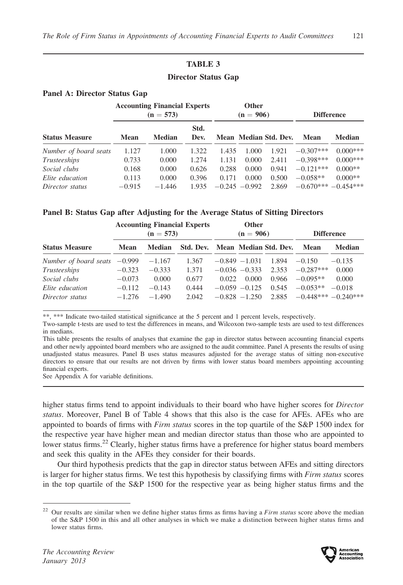# TABLE 3 Director Status Gap

#### Panel A: Director Status Gap

|                       | <b>Accounting Financial Experts</b><br>$(n = 573)$ |          |              | <b>Other</b><br>$(n = 906)$ |                  |                       | <b>Difference</b>       |               |
|-----------------------|----------------------------------------------------|----------|--------------|-----------------------------|------------------|-----------------------|-------------------------|---------------|
| <b>Status Measure</b> | Mean                                               | Median   | Std.<br>Dev. |                             |                  | Mean Median Std. Dev. | Mean                    | <b>Median</b> |
| Number of board seats | 1.127                                              | 1.000    | 1.322        | 1.435                       | 1.000            | 1.921                 | $-0.307***$             | $0.000***$    |
| <i>Trusteeships</i>   | 0.733                                              | 0.000    | 1.274        | 1.131                       | 0.000            | 2.411                 | $-0.398***$             | $0.000***$    |
| Social clubs          | 0.168                                              | 0.000    | 0.626        | 0.288                       | 0.000            | 0.941                 | $-0.121***$             | $0.000**$     |
| Elite education       | 0.113                                              | 0.000    | 0.396        | 0.171                       | 0.000            | 0.500                 | $-0.058**$              | $0.000**$     |
| Director status       | $-0.915$                                           | $-1.446$ | 1.935        |                             | $-0.245 - 0.992$ | 2.869                 | $-0.670***$ $-0.454***$ |               |

#### Panel B: Status Gap after Adjusting for the Average Status of Sitting Directors

|                                    | <b>Accounting Financial Experts</b><br>$(n = 573)$ |                      |                                 | Other<br>$(n = 906)$ |                                      |                | <b>Difference</b>                     |               |
|------------------------------------|----------------------------------------------------|----------------------|---------------------------------|----------------------|--------------------------------------|----------------|---------------------------------------|---------------|
| <b>Status Measure</b>              | Mean                                               | <b>Median</b>        | Std. Dev. Mean Median Std. Dev. |                      |                                      |                | Mean                                  | <b>Median</b> |
| Number of board seats $-0.999$     |                                                    | $-1.167$             | 1.367                           |                      | $-0.849 - 1.031$                     | 1.894          | $-0.150$                              | $-0.135$      |
| <i>Trusteeships</i>                | $-0.323$                                           | $-0.333$             | 1.371                           |                      | $-0.036 - 0.333$                     | 2.353          | $-0.287***$                           | 0.000         |
| Social clubs                       | $-0.073$                                           | 0.000                | 0.677                           | 0.022                | 0.000                                | 0.966          | $-0.095**$                            | 0.000         |
| Elite education<br>Director status | $-0.112$<br>$-1.276$                               | $-0.143$<br>$-1.490$ | 0.444<br>2.042                  |                      | $-0.059 - 0.125$<br>$-0.828 - 1.250$ | 0.545<br>2.885 | $-0.053**$<br>$-0.448***$ $-0.240***$ | $-0.018$      |

\*\*, \*\*\* Indicate two-tailed statistical significance at the 5 percent and 1 percent levels, respectively.

Two-sample t-tests are used to test the differences in means, and Wilcoxon two-sample tests are used to test differences in medians.

This table presents the results of analyses that examine the gap in director status between accounting financial experts and other newly appointed board members who are assigned to the audit committee. Panel A presents the results of using unadjusted status measures. Panel B uses status measures adjusted for the average status of sitting non-executive directors to ensure that our results are not driven by firms with lower status board members appointing accounting financial experts.

See Appendix A for variable definitions.

higher status firms tend to appoint individuals to their board who have higher scores for *Director* status. Moreover, Panel B of Table 4 shows that this also is the case for AFEs. AFEs who are appointed to boards of firms with Firm status scores in the top quartile of the S&P 1500 index for the respective year have higher mean and median director status than those who are appointed to lower status firms.<sup>22</sup> Clearly, higher status firms have a preference for higher status board members and seek this quality in the AFEs they consider for their boards.

Our third hypothesis predicts that the gap in director status between AFEs and sitting directors is larger for higher status firms. We test this hypothesis by classifying firms with Firm status scores in the top quartile of the S&P 1500 for the respective year as being higher status firms and the

 $22$  Our results are similar when we define higher status firms as firms having a Firm status score above the median of the S&P 1500 in this and all other analyses in which we make a distinction between higher status firms and lower status firms.

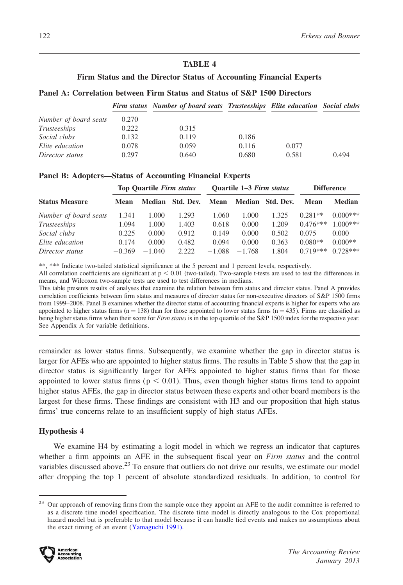#### TABLE 4

#### Firm Status and the Director Status of Accounting Financial Experts

#### Panel A: Correlation between Firm Status and Status of S&P 1500 Directors

|                       |       | Firm status Number of board seats Trusteeships Elite education Social clubs |       |       |       |
|-----------------------|-------|-----------------------------------------------------------------------------|-------|-------|-------|
| Number of board seats | 0.270 |                                                                             |       |       |       |
| Trusteeships          | 0.222 | 0.315                                                                       |       |       |       |
| Social clubs          | 0.132 | 0.119                                                                       | 0.186 |       |       |
| Elite education       | 0.078 | 0.059                                                                       | 0.116 | 0.077 |       |
| Director status       | 0.297 | 0.640                                                                       | 0.680 | 0.581 | 0.494 |

### Panel B: Adopters—Status of Accounting Financial Experts

|                       | <b>Top Quartile Firm status</b> |               |           |             | <b>Ouartile 1–3 Firm status</b> | <b>Difference</b> |            |               |
|-----------------------|---------------------------------|---------------|-----------|-------------|---------------------------------|-------------------|------------|---------------|
| <b>Status Measure</b> | Mean                            | <b>Median</b> | Std. Dev. | <b>Mean</b> | <b>Median</b>                   | Std. Dev.         | Mean       | <b>Median</b> |
| Number of board seats | 1.341                           | 1.000         | 1.293     | 1.060       | 1.000                           | 1.325             | $0.281**$  | $0.000***$    |
| <i>Trusteeships</i>   | 1.094                           | 1.000         | 1.403     | 0.618       | 0.000                           | 1.209             | $0.476***$ | $1.000***$    |
| Social clubs          | 0.225                           | 0.000         | 0.912     | 0.149       | 0.000                           | 0.502             | 0.075      | 0.000         |
| Elite education       | 0.174                           | 0.000         | 0.482     | 0.094       | 0.000                           | 0.363             | $0.080**$  | $0.000**$     |
| Director status       | $-0.369$                        | $-1.040$      | 2.222     | $-1.088$    | $-1.768$                        | 1.804             | $0.719***$ | $0.728***$    |

\*\*, \*\*\* Indicate two-tailed statistical significance at the 5 percent and 1 percent levels, respectively.

All correlation coefficients are significant at  $p < 0.01$  (two-tailed). Two-sample t-tests are used to test the differences in means, and Wilcoxon two-sample tests are used to test differences in medians.

This table presents results of analyses that examine the relation between firm status and director status. Panel A provides correlation coefficients between firm status and measures of director status for non-executive directors of S&P 1500 firms from 1999–2008. Panel B examines whether the director status of accounting financial experts is higher for experts who are appointed to higher status firms ( $n = 138$ ) than for those appointed to lower status firms ( $n = 435$ ). Firms are classified as being higher status firms when their score for Firm status is in the top quartile of the S&P 1500 index for the respective year. See Appendix A for variable definitions.

remainder as lower status firms. Subsequently, we examine whether the gap in director status is larger for AFEs who are appointed to higher status firms. The results in Table 5 show that the gap in director status is significantly larger for AFEs appointed to higher status firms than for those appointed to lower status firms ( $p < 0.01$ ). Thus, even though higher status firms tend to appoint higher status AFEs, the gap in director status between these experts and other board members is the largest for these firms. These findings are consistent with H3 and our proposition that high status firms' true concerns relate to an insufficient supply of high status AFEs.

#### Hypothesis 4

We examine H4 by estimating a logit model in which we regress an indicator that captures whether a firm appoints an AFE in the subsequent fiscal year on Firm status and the control variables discussed above.<sup>23</sup> To ensure that outliers do not drive our results, we estimate our model after dropping the top 1 percent of absolute standardized residuals. In addition, to control for

<sup>&</sup>lt;sup>23</sup> Our approach of removing firms from the sample once they appoint an AFE to the audit committee is referred to as a discrete time model specification. The discrete time model is directly analogous to the Cox proportional hazard model but is preferable to that model because it can handle tied events and makes no assumptions about the exact timing of an event ([Yamaguchi 1991\).](#page-26-0)

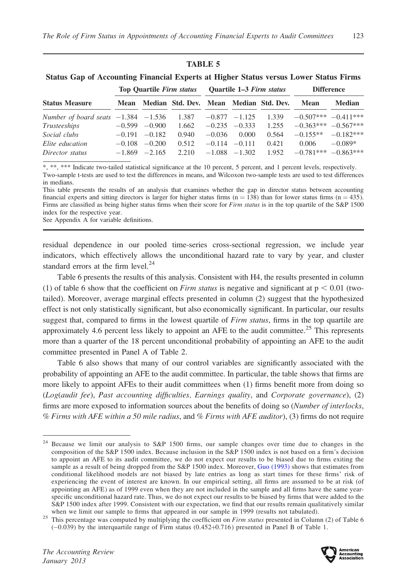#### Status Measure Top Quartile Firm status Quartile 1–3 Firm status Difference Mean Median Std. Dev. Mean Median Std. Dev. Mean Median Number of board seats  $-1.384$  - $-1.536$  1.387  $-0.877 -1.125$ 1.339  $-0.507***$  $-0.411***$ Trusteeships - $-0.599 -0.900$ 1.662  $-0.235$   $-0.333$ 1.255  $-0.363***$  $-0.567***$ Social clubs  $0.191 -0.182 0.940 -0.036$   $0.000$   $0.564$  $-0.155**$  $-0.182***$ Elite education  $-0.108$   $-0.200$  $0.512$  $-0.114 -0.111$ 0.421 0.006  $-0.089*$

#### TABLE 5

#### Status Gap of Accounting Financial Experts at Higher Status versus Lower Status Firms

\*, \*\*, \*\*\* Indicate two-tailed statistical significance at the 10 percent, 5 percent, and 1 percent levels, respectively.

2.210

Two-sample t-tests are used to test the differences in means, and Wilcoxon two-sample tests are used to test differences in medians.

 $-1.088 - 1.302$ 

1.952

 $0.781*** -0.863***$ 

This table presents the results of an analysis that examines whether the gap in director status between accounting financial experts and sitting directors is larger for higher status firms (n = 138) than for lower status firms (n = 435). Firms are classified as being higher status firms when their score for Firm status is in the top quartile of the S&P 1500 index for the respective year.

See Appendix A for variable definitions.

 $-1.869 -2.165$ 

Director status

residual dependence in our pooled time-series cross-sectional regression, we include year indicators, which effectively allows the unconditional hazard rate to vary by year, and cluster standard errors at the firm level.<sup>24</sup>

Table 6 presents the results of this analysis. Consistent with H4, the results presented in column (1) of table 6 show that the coefficient on Firm status is negative and significant at  $p < 0.01$  (twotailed). Moreover, average marginal effects presented in column (2) suggest that the hypothesized effect is not only statistically significant, but also economically significant. In particular, our results suggest that, compared to firms in the lowest quartile of Firm status, firms in the top quartile are approximately 4.6 percent less likely to appoint an AFE to the audit committee.<sup>25</sup> This represents more than a quarter of the 18 percent unconditional probability of appointing an AFE to the audit committee presented in Panel A of Table 2.

Table 6 also shows that many of our control variables are significantly associated with the probability of appointing an AFE to the audit committee. In particular, the table shows that firms are more likely to appoint AFEs to their audit committees when (1) firms benefit more from doing so (Log(audit fee), Past accounting difficulties, Earnings quality, and Corporate governance), (2) firms are more exposed to information sources about the benefits of doing so (Number of interlocks,  $\%$  Firms with AFE within a 50 mile radius, and  $\%$  Firms with AFE auditor), (3) firms do not require

<sup>&</sup>lt;sup>24</sup> Because we limit our analysis to S&P 1500 firms, our sample changes over time due to changes in the composition of the S&P 1500 index. Because inclusion in the S&P 1500 index is not based on a firm's decision to appoint an AFE to its audit committee, we do not expect our results to be biased due to firms exiting the sample as a result of being dropped from the S&P 1500 index. Moreover, [Guo \(1993\)](#page-25-0) shows that estimates from conditional likelihood models are not biased by late entries as long as start times for these firms' risk of experiencing the event of interest are known. In our empirical setting, all firms are assumed to be at risk (of appointing an AFE) as of 1999 even when they are not included in the sample and all firms have the same yearspecific unconditional hazard rate. Thus, we do not expect our results to be biased by firms that were added to the S&P 1500 index after 1999. Consistent with our expectation, we find that our results remain qualitatively similar

when we limit our sample to firms that appeared in our sample in 1999 (results not tabulated).<br><sup>25</sup> This percentage was computed by multiplying the coefficient on *Firm status* presented in Column (2) of Table 6  $(-0.039)$  by the interquartile range of Firm status  $(0.452+0.716)$  presented in Panel B of Table 1.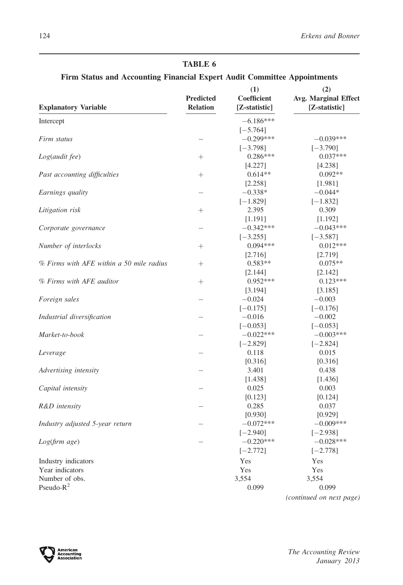#### TABLE 6

# Firm Status and Accounting Financial Expert Audit Committee Appointments

|                                          | Predicted       | (1)<br>Coefficient | (2)<br>Avg. Marginal Effect |
|------------------------------------------|-----------------|--------------------|-----------------------------|
| <b>Explanatory Variable</b>              | <b>Relation</b> | [Z-statistic]      | [Z-statistic]               |
| Intercept                                |                 | $-6.186***$        |                             |
|                                          |                 | $[-5.764]$         |                             |
| Firm status                              |                 | $-0.299***$        | $-0.039***$                 |
|                                          |                 | $[-3.798]$         | $[-3.790]$                  |
| Log(audit fee)                           | $^{+}$          | $0.286***$         | $0.037***$                  |
|                                          |                 | [4.227]            | [4.238]                     |
| Past accounting difficulties             | $^{+}$          | $0.614**$          | $0.092**$                   |
|                                          |                 | [2.258]            | [1.981]                     |
| Earnings quality                         |                 | $-0.338*$          | $-0.044*$                   |
|                                          |                 | $[-1.829]$         | $[-1.832]$                  |
| Litigation risk                          | $^{+}$          | 2.395              | 0.309                       |
|                                          |                 | [1.191]            | [1.192]                     |
| Corporate governance                     |                 | $-0.342***$        | $-0.043***$                 |
|                                          |                 | $[-3.255]$         | $[-3.587]$                  |
| Number of interlocks                     | $^{+}$          | $0.094***$         | $0.012***$                  |
|                                          |                 | [2.716]            | [2.719]                     |
| % Firms with AFE within a 50 mile radius | $^{+}$          | $0.583**$          | $0.075**$                   |
|                                          |                 | [2.144]            | [2.142]                     |
| % Firms with AFE auditor                 | $^{+}$          | $0.952***$         | $0.123***$                  |
|                                          |                 | [3.194]            | [3.185]                     |
| Foreign sales                            |                 | $-0.024$           | $-0.003$                    |
|                                          |                 | $[-0.175]$         | $[-0.176]$                  |
| Industrial diversification               |                 | $-0.016$           | $-0.002$                    |
|                                          |                 | $[-0.053]$         | $[-0.053]$                  |
| Market-to-book                           |                 | $-0.022***$        | $-0.003***$                 |
|                                          |                 | $[-2.829]$         | $[-2.824]$                  |
| Leverage                                 |                 | 0.118              | 0.015                       |
|                                          |                 | [0.316]            | [0.316]                     |
| Advertising intensity                    |                 | 3.401              | 0.438                       |
|                                          |                 | [1.438]            | [1.436]                     |
| Capital intensity                        |                 | 0.025              | 0.003                       |
|                                          |                 | [0.123]            | [0.124]                     |
| R&D intensity                            |                 | 0.285              | 0.037                       |
|                                          |                 | [0.930]            | [0.929]                     |
| Industry adjusted 5-year return          |                 | $-0.072***$        | $-0.009***$                 |
|                                          |                 | $[-2.940]$         | $[-2.938]$                  |
| $Log(firm \, age)$                       |                 | $-0.220***$        | $-0.028***$                 |
|                                          |                 | $[-2.772]$         | $[-2.778]$                  |
| Industry indicators                      |                 | Yes                | Yes                         |
| Year indicators                          |                 | Yes                | Yes                         |
| Number of obs.                           |                 | 3,554              | 3,554                       |
| $Pseudo-R2$                              |                 | 0.099              | 0.099                       |

(continued on next page)

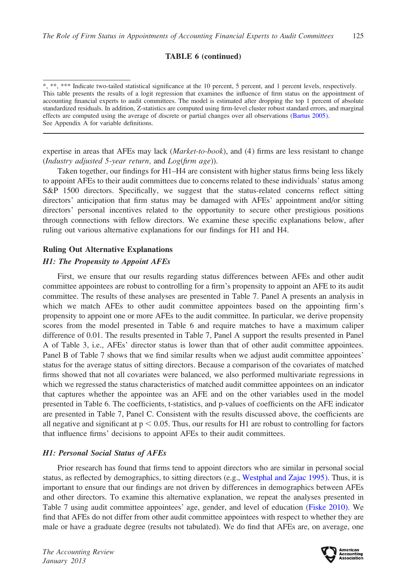#### TABLE 6 (continued)

expertise in areas that AFEs may lack (*Market-to-book*), and (4) firms are less resistant to change (Industry adjusted 5-year return, and  $Log(firm \, age)$ ).

Taken together, our findings for H1–H4 are consistent with higher status firms being less likely to appoint AFEs to their audit committees due to concerns related to these individuals' status among S&P 1500 directors. Specifically, we suggest that the status-related concerns reflect sitting directors' anticipation that firm status may be damaged with AFEs' appointment and/or sitting directors' personal incentives related to the opportunity to secure other prestigious positions through connections with fellow directors. We examine these specific explanations below, after ruling out various alternative explanations for our findings for H1 and H4.

#### Ruling Out Alternative Explanations

#### H1: The Propensity to Appoint AFEs

First, we ensure that our results regarding status differences between AFEs and other audit committee appointees are robust to controlling for a firm's propensity to appoint an AFE to its audit committee. The results of these analyses are presented in Table 7. Panel A presents an analysis in which we match AFEs to other audit committee appointees based on the appointing firm's propensity to appoint one or more AFEs to the audit committee. In particular, we derive propensity scores from the model presented in Table 6 and require matches to have a maximum caliper difference of 0.01. The results presented in Table 7, Panel A support the results presented in Panel A of Table 3, i.e., AFEs' director status is lower than that of other audit committee appointees. Panel B of Table 7 shows that we find similar results when we adjust audit committee appointees' status for the average status of sitting directors. Because a comparison of the covariates of matched firms showed that not all covariates were balanced, we also performed multivariate regressions in which we regressed the status characteristics of matched audit committee appointees on an indicator that captures whether the appointee was an AFE and on the other variables used in the model presented in Table 6. The coefficients, t-statistics, and p-values of coefficients on the AFE indicator are presented in Table 7, Panel C. Consistent with the results discussed above, the coefficients are all negative and significant at  $p < 0.05$ . Thus, our results for H1 are robust to controlling for factors that influence firms' decisions to appoint AFEs to their audit committees.

#### H1: Personal Social Status of AFEs

Prior research has found that firms tend to appoint directors who are similar in personal social status, as reflected by demographics, to sitting directors (e.g., [Westphal and Zajac 1995\).](#page-26-0) Thus, it is important to ensure that our findings are not driven by differences in demographics between AFEs and other directors. To examine this alternative explanation, we repeat the analyses presented in Table 7 using audit committee appointees' age, gender, and level of education [\(Fiske 2010\).](#page-25-0) We find that AFEs do not differ from other audit committee appointees with respect to whether they are male or have a graduate degree (results not tabulated). We do find that AFEs are, on average, one



<sup>\*, \*\*, \*\*\*</sup> Indicate two-tailed statistical significance at the 10 percent, 5 percent, and 1 percent levels, respectively. This table presents the results of a logit regression that examines the influence of firm status on the appointment of accounting financial experts to audit committees. The model is estimated after dropping the top 1 percent of absolute standardized residuals. In addition, Z-statistics are computed using firm-level cluster robust standard errors, and marginal effects are computed using the average of discrete or partial changes over all observations ([Bartus 2005\).](#page-24-0) See Appendix A for variable definitions.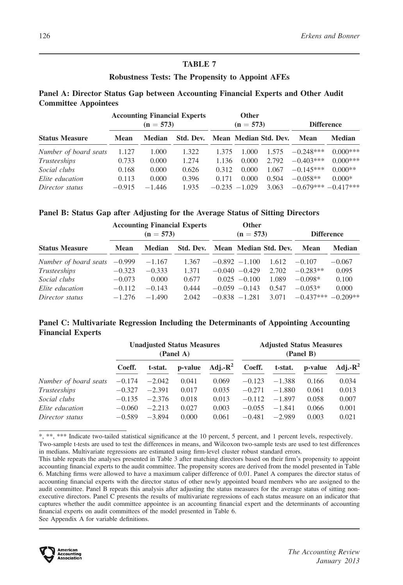#### TABLE 7

Robustness Tests: The Propensity to Appoint AFEs

Panel A: Director Status Gap between Accounting Financial Experts and Other Audit Committee Appointees

|                       | <b>Accounting Financial Experts</b><br>$(n = 573)$ |               |           | Other<br>$(n = 573)$ |                  |                       | <b>Difference</b>       |               |
|-----------------------|----------------------------------------------------|---------------|-----------|----------------------|------------------|-----------------------|-------------------------|---------------|
| <b>Status Measure</b> | Mean                                               | <b>Median</b> | Std. Dev. |                      |                  | Mean Median Std. Dev. | Mean                    | <b>Median</b> |
| Number of board seats | 1.127                                              | 1.000         | 1.322     | 1.375                | 1.000            | 1.575                 | $-0.248***$             | $0.000***$    |
| <i>Trusteeships</i>   | 0.733                                              | 0.000         | 1.274     | 1.136                | 0.000            | 2.792                 | $-0.403***$             | $0.000***$    |
| Social clubs          | 0.168                                              | 0.000         | 0.626     | 0.312                | 0.000            | 1.067                 | $-0.145***$             | $0.000**$     |
| Elite education       | 0.113                                              | 0.000         | 0.396     | 0.171                | 0.000            | 0.504                 | $-0.058**$              | $0.000*$      |
| Director status       | $-0.915$                                           | $-1.446$      | 1.935     |                      | $-0.235 - 1.029$ | 3.063                 | $-0.679***$ $-0.417***$ |               |

#### Panel B: Status Gap after Adjusting for the Average Status of Sitting Directors

|                       |             | $(n = 573)$   | <b>Accounting Financial Experts</b> | <b>Other</b><br>$(n = 573)$ |                       | <b>Difference</b> |               |
|-----------------------|-------------|---------------|-------------------------------------|-----------------------------|-----------------------|-------------------|---------------|
| <b>Status Measure</b> | <b>Mean</b> | <b>Median</b> | Std. Dev.                           |                             | Mean Median Std. Dev. | Mean              | <b>Median</b> |
| Number of board seats | $-0.999$    | $-1.167$      | 1.367                               | $-0.892 - 1.100$            | 1.612                 | $-0.107$          | $-0.067$      |
| <i>Trusteeships</i>   | $-0.323$    | $-0.333$      | 1.371                               | $-0.040 - 0.429$            | 2.702                 | $-0.283**$        | 0.095         |
| Social clubs          | $-0.073$    | 0.000         | 0.677                               | $0.025 - 0.100$             | 1.089                 | $-0.098*$         | 0.100         |
| Elite education       | $-0.112$    | $-0.143$      | 0.444                               | $-0.059 - 0.143$            | 0.547                 | $-0.053*$         | 0.000         |
| Director status       | $-1.276$    | $-1.490$      | 2.042                               | $-0.838 - 1.281$            | 3.071                 | $-0.437***$       | $-0.209**$    |

# Panel C: Multivariate Regression Including the Determinants of Appointing Accounting Financial Experts

|                       | <b>Unadjusted Status Measures</b><br>(Panel A) |          |         | <b>Adjusted Status Measures</b><br>(Panel B) |          |          |         |                      |
|-----------------------|------------------------------------------------|----------|---------|----------------------------------------------|----------|----------|---------|----------------------|
|                       | Coeff.                                         | t-stat.  | p-value | Adj.- $R^2$                                  | Coeff.   | t-stat.  | p-value | Adj.- $\mathbb{R}^2$ |
| Number of board seats | $-0.174$                                       | $-2.042$ | 0.041   | 0.069                                        | $-0.123$ | $-1.388$ | 0.166   | 0.034                |
| <i>Trusteeships</i>   | $-0.327$                                       | $-2.391$ | 0.017   | 0.035                                        | $-0.271$ | $-1.880$ | 0.061   | 0.013                |
| Social clubs          | $-0.135$                                       | $-2.376$ | 0.018   | 0.013                                        | $-0.112$ | $-1.897$ | 0.058   | 0.007                |
| Elite education       | $-0.060$                                       | $-2.213$ | 0.027   | 0.003                                        | $-0.055$ | $-1.841$ | 0.066   | 0.001                |
| Director status       | $-0.589$                                       | $-3.894$ | 0.000   | 0.061                                        | $-0.481$ | $-2.989$ | 0.003   | 0.021                |

\*, \*\*, \*\*\* Indicate two-tailed statistical significance at the 10 percent, 5 percent, and 1 percent levels, respectively. Two-sample t-tests are used to test the differences in means, and Wilcoxon two-sample tests are used to test differences in medians. Multivariate regressions are estimated using firm-level cluster robust standard errors.

This table repeats the analyses presented in Table 3 after matching directors based on their firm's propensity to appoint accounting financial experts to the audit committee. The propensity scores are derived from the model presented in Table 6. Matching firms were allowed to have a maximum caliper difference of 0.01. Panel A compares the director status of accounting financial experts with the director status of other newly appointed board members who are assigned to the audit committee. Panel B repeats this analysis after adjusting the status measures for the average status of sitting nonexecutive directors. Panel C presents the results of multivariate regressions of each status measure on an indicator that captures whether the audit committee appointee is an accounting financial expert and the determinants of accounting financial experts on audit committees of the model presented in Table 6.

See Appendix A for variable definitions.

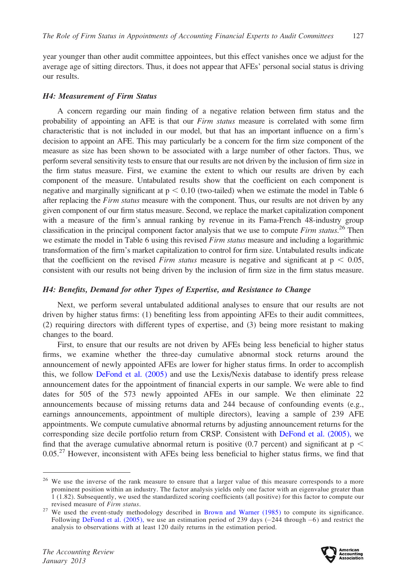year younger than other audit committee appointees, but this effect vanishes once we adjust for the average age of sitting directors. Thus, it does not appear that AFEs' personal social status is driving our results.

#### H4: Measurement of Firm Status

A concern regarding our main finding of a negative relation between firm status and the probability of appointing an AFE is that our Firm status measure is correlated with some firm characteristic that is not included in our model, but that has an important influence on a firm's decision to appoint an AFE. This may particularly be a concern for the firm size component of the measure as size has been shown to be associated with a large number of other factors. Thus, we perform several sensitivity tests to ensure that our results are not driven by the inclusion of firm size in the firm status measure. First, we examine the extent to which our results are driven by each component of the measure. Untabulated results show that the coefficient on each component is negative and marginally significant at  $p < 0.10$  (two-tailed) when we estimate the model in Table 6 after replacing the Firm status measure with the component. Thus, our results are not driven by any given component of our firm status measure. Second, we replace the market capitalization component with a measure of the firm's annual ranking by revenue in its Fama-French 48-industry group classification in the principal component factor analysis that we use to compute Firm status.<sup>26</sup> Then we estimate the model in Table 6 using this revised *Firm status* measure and including a logarithmic transformation of the firm's market capitalization to control for firm size. Untabulated results indicate that the coefficient on the revised Firm status measure is negative and significant at  $p < 0.05$ , consistent with our results not being driven by the inclusion of firm size in the firm status measure.

#### H4: Benefits, Demand for other Types of Expertise, and Resistance to Change

Next, we perform several untabulated additional analyses to ensure that our results are not driven by higher status firms: (1) benefiting less from appointing AFEs to their audit committees, (2) requiring directors with different types of expertise, and (3) being more resistant to making changes to the board.

First, to ensure that our results are not driven by AFEs being less beneficial to higher status firms, we examine whether the three-day cumulative abnormal stock returns around the announcement of newly appointed AFEs are lower for higher status firms. In order to accomplish this, we follow [DeFond et al. \(2005\)](#page-25-0) and use the Lexis/Nexis database to identify press release announcement dates for the appointment of financial experts in our sample. We were able to find dates for 505 of the 573 newly appointed AFEs in our sample. We then eliminate 22 announcements because of missing returns data and 244 because of confounding events (e.g., earnings announcements, appointment of multiple directors), leaving a sample of 239 AFE appointments. We compute cumulative abnormal returns by adjusting announcement returns for the corresponding size decile portfolio return from CRSP. Consistent with [DeFond et al. \(2005\),](#page-25-0) we find that the average cumulative abnormal return is positive  $(0.7 \text{ percent})$  and significant at  $p <$  $0.05<sup>27</sup>$  However, inconsistent with AFEs being less beneficial to higher status firms, we find that

revised measure of Firm status.<br><sup>27</sup> We used the event-study methodology described in [Brown and Warner \(1985\)](#page-24-0) to compute its significance. Following [DeFond et al. \(2005\),](#page-25-0) we use an estimation period of 239 days (-244 through -6) and restrict the analysis to observations with at least 120 daily returns in the estimation period.



<sup>&</sup>lt;sup>26</sup> We use the inverse of the rank measure to ensure that a larger value of this measure corresponds to a more prominent position within an industry. The factor analysis yields only one factor with an eigenvalue greater than 1 (1.82). Subsequently, we used the standardized scoring coefficients (all positive) for this factor to compute our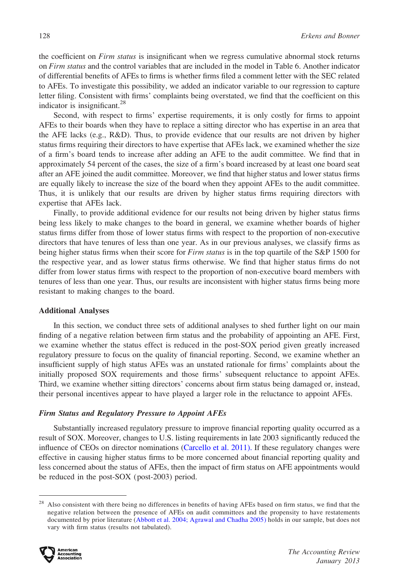the coefficient on *Firm status* is insignificant when we regress cumulative abnormal stock returns on *Firm status* and the control variables that are included in the model in Table 6. Another indicator of differential benefits of AFEs to firms is whether firms filed a comment letter with the SEC related to AFEs. To investigate this possibility, we added an indicator variable to our regression to capture letter filing. Consistent with firms' complaints being overstated, we find that the coefficient on this indicator is insignificant. $^{28}$ 

Second, with respect to firms' expertise requirements, it is only costly for firms to appoint AFEs to their boards when they have to replace a sitting director who has expertise in an area that the AFE lacks (e.g., R&D). Thus, to provide evidence that our results are not driven by higher status firms requiring their directors to have expertise that AFEs lack, we examined whether the size of a firm's board tends to increase after adding an AFE to the audit committee. We find that in approximately 54 percent of the cases, the size of a firm's board increased by at least one board seat after an AFE joined the audit committee. Moreover, we find that higher status and lower status firms are equally likely to increase the size of the board when they appoint AFEs to the audit committee. Thus, it is unlikely that our results are driven by higher status firms requiring directors with expertise that AFEs lack.

Finally, to provide additional evidence for our results not being driven by higher status firms being less likely to make changes to the board in general, we examine whether boards of higher status firms differ from those of lower status firms with respect to the proportion of non-executive directors that have tenures of less than one year. As in our previous analyses, we classify firms as being higher status firms when their score for Firm status is in the top quartile of the S&P 1500 for the respective year, and as lower status firms otherwise. We find that higher status firms do not differ from lower status firms with respect to the proportion of non-executive board members with tenures of less than one year. Thus, our results are inconsistent with higher status firms being more resistant to making changes to the board.

#### Additional Analyses

In this section, we conduct three sets of additional analyses to shed further light on our main finding of a negative relation between firm status and the probability of appointing an AFE. First, we examine whether the status effect is reduced in the post-SOX period given greatly increased regulatory pressure to focus on the quality of financial reporting. Second, we examine whether an insufficient supply of high status AFEs was an unstated rationale for firms' complaints about the initially proposed SOX requirements and those firms' subsequent reluctance to appoint AFEs. Third, we examine whether sitting directors' concerns about firm status being damaged or, instead, their personal incentives appear to have played a larger role in the reluctance to appoint AFEs.

#### Firm Status and Regulatory Pressure to Appoint AFEs

Substantially increased regulatory pressure to improve financial reporting quality occurred as a result of SOX. Moreover, changes to U.S. listing requirements in late 2003 significantly reduced the influence of CEOs on director nominations ([Carcello et al. 2011\).](#page-25-0) If these regulatory changes were effective in causing higher status firms to be more concerned about financial reporting quality and less concerned about the status of AFEs, then the impact of firm status on AFE appointments would be reduced in the post-SOX (post-2003) period.

<sup>&</sup>lt;sup>28</sup> Also consistent with there being no differences in benefits of having AFEs based on firm status, we find that the negative relation between the presence of AFEs on audit committees and the propensity to have restatements documented by prior literature [\(Abbott et al. 2004; Agrawal and Chadha 2005\)](#page-24-0) holds in our sample, but does not vary with firm status (results not tabulated).

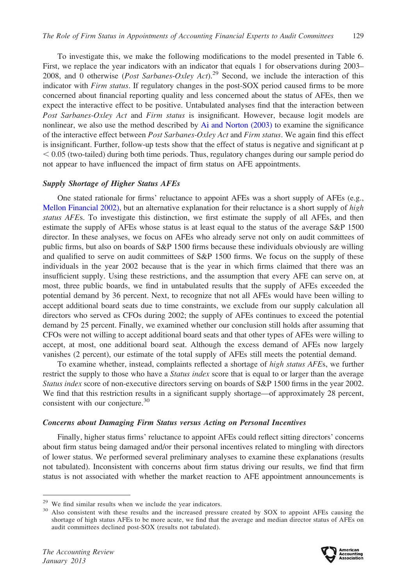To investigate this, we make the following modifications to the model presented in Table 6. First, we replace the year indicators with an indicator that equals 1 for observations during 2003– 2008, and 0 otherwise (*Post Sarbanes-Oxley Act*).<sup>29</sup> Second, we include the interaction of this indicator with Firm status. If regulatory changes in the post-SOX period caused firms to be more concerned about financial reporting quality and less concerned about the status of AFEs, then we expect the interactive effect to be positive. Untabulated analyses find that the interaction between Post Sarbanes-Oxley Act and Firm status is insignificant. However, because logit models are nonlinear, we also use the method described by [Ai and Norton \(2003\)](#page-24-0) to examine the significance of the interactive effect between *Post Sarbanes-Oxley Act* and *Firm status*. We again find this effect is insignificant. Further, follow-up tests show that the effect of status is negative and significant at p  $< 0.05$  (two-tailed) during both time periods. Thus, regulatory changes during our sample period do not appear to have influenced the impact of firm status on AFE appointments.

#### Supply Shortage of Higher Status AFEs

One stated rationale for firms' reluctance to appoint AFEs was a short supply of AFEs (e.g., [Mellon Financial 2002\),](#page-26-0) but an alternative explanation for their reluctance is a short supply of high status AFEs. To investigate this distinction, we first estimate the supply of all AFEs, and then estimate the supply of AFEs whose status is at least equal to the status of the average S&P 1500 director. In these analyses, we focus on AFEs who already serve not only on audit committees of public firms, but also on boards of S&P 1500 firms because these individuals obviously are willing and qualified to serve on audit committees of S&P 1500 firms. We focus on the supply of these individuals in the year 2002 because that is the year in which firms claimed that there was an insufficient supply. Using these restrictions, and the assumption that every AFE can serve on, at most, three public boards, we find in untabulated results that the supply of AFEs exceeded the potential demand by 36 percent. Next, to recognize that not all AFEs would have been willing to accept additional board seats due to time constraints, we exclude from our supply calculation all directors who served as CFOs during 2002; the supply of AFEs continues to exceed the potential demand by 25 percent. Finally, we examined whether our conclusion still holds after assuming that CFOs were not willing to accept additional board seats and that other types of AFEs were willing to accept, at most, one additional board seat. Although the excess demand of AFEs now largely vanishes (2 percent), our estimate of the total supply of AFEs still meets the potential demand.

To examine whether, instead, complaints reflected a shortage of high status AFEs, we further restrict the supply to those who have a *Status index* score that is equal to or larger than the average Status index score of non-executive directors serving on boards of S&P 1500 firms in the year 2002. We find that this restriction results in a significant supply shortage—of approximately 28 percent, consistent with our conjecture.<sup>30</sup>

#### Concerns about Damaging Firm Status versus Acting on Personal Incentives

Finally, higher status firms' reluctance to appoint AFEs could reflect sitting directors' concerns about firm status being damaged and/or their personal incentives related to mingling with directors of lower status. We performed several preliminary analyses to examine these explanations (results not tabulated). Inconsistent with concerns about firm status driving our results, we find that firm status is not associated with whether the market reaction to AFE appointment announcements is



<sup>&</sup>lt;sup>29</sup> We find similar results when we include the year indicators.<br><sup>30</sup> Also consistent with these results and the increased pressure created by SOX to appoint AFEs causing the shortage of high status AFEs to be more acute, we find that the average and median director status of AFEs on audit committees declined post-SOX (results not tabulated).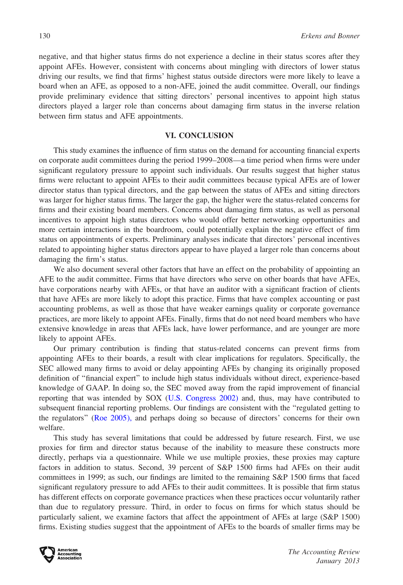negative, and that higher status firms do not experience a decline in their status scores after they appoint AFEs. However, consistent with concerns about mingling with directors of lower status driving our results, we find that firms' highest status outside directors were more likely to leave a board when an AFE, as opposed to a non-AFE, joined the audit committee. Overall, our findings provide preliminary evidence that sitting directors' personal incentives to appoint high status directors played a larger role than concerns about damaging firm status in the inverse relation between firm status and AFE appointments.

#### VI. CONCLUSION

This study examines the influence of firm status on the demand for accounting financial experts on corporate audit committees during the period 1999–2008—a time period when firms were under significant regulatory pressure to appoint such individuals. Our results suggest that higher status firms were reluctant to appoint AFEs to their audit committees because typical AFEs are of lower director status than typical directors, and the gap between the status of AFEs and sitting directors was larger for higher status firms. The larger the gap, the higher were the status-related concerns for firms and their existing board members. Concerns about damaging firm status, as well as personal incentives to appoint high status directors who would offer better networking opportunities and more certain interactions in the boardroom, could potentially explain the negative effect of firm status on appointments of experts. Preliminary analyses indicate that directors' personal incentives related to appointing higher status directors appear to have played a larger role than concerns about damaging the firm's status.

We also document several other factors that have an effect on the probability of appointing an AFE to the audit committee. Firms that have directors who serve on other boards that have AFEs, have corporations nearby with AFEs, or that have an auditor with a significant fraction of clients that have AFEs are more likely to adopt this practice. Firms that have complex accounting or past accounting problems, as well as those that have weaker earnings quality or corporate governance practices, are more likely to appoint AFEs. Finally, firms that do not need board members who have extensive knowledge in areas that AFEs lack, have lower performance, and are younger are more likely to appoint AFEs.

Our primary contribution is finding that status-related concerns can prevent firms from appointing AFEs to their boards, a result with clear implications for regulators. Specifically, the SEC allowed many firms to avoid or delay appointing AFEs by changing its originally proposed definition of ''financial expert'' to include high status individuals without direct, experience-based knowledge of GAAP. In doing so, the SEC moved away from the rapid improvement of financial reporting that was intended by SOX ([U.S. Congress 2002\)](#page-26-0) and, thus, may have contributed to subsequent financial reporting problems. Our findings are consistent with the ''regulated getting to the regulators'' ([Roe 2005\),](#page-26-0) and perhaps doing so because of directors' concerns for their own welfare.

This study has several limitations that could be addressed by future research. First, we use proxies for firm and director status because of the inability to measure these constructs more directly, perhaps via a questionnaire. While we use multiple proxies, these proxies may capture factors in addition to status. Second, 39 percent of S&P 1500 firms had AFEs on their audit committees in 1999; as such, our findings are limited to the remaining S&P 1500 firms that faced significant regulatory pressure to add AFEs to their audit committees. It is possible that firm status has different effects on corporate governance practices when these practices occur voluntarily rather than due to regulatory pressure. Third, in order to focus on firms for which status should be particularly salient, we examine factors that affect the appointment of AFEs at large (S&P 1500) firms. Existing studies suggest that the appointment of AFEs to the boards of smaller firms may be



The Accounting Review January 2013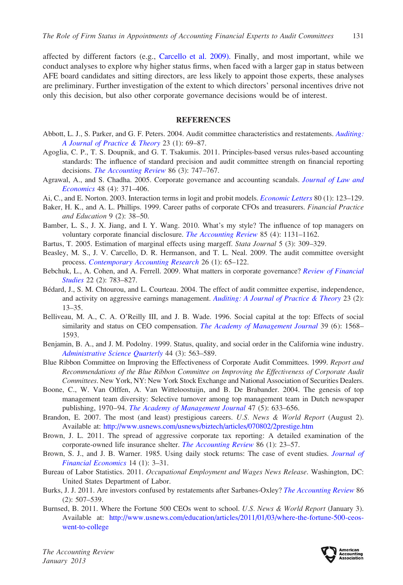<span id="page-24-0"></span>affected by different factors (e.g., [Carcello et al. 2009\).](#page-25-0) Finally, and most important, while we conduct analyses to explore why higher status firms, when faced with a larger gap in status between AFE board candidates and sitting directors, are less likely to appoint those experts, these analyses are preliminary. Further investigation of the extent to which directors' personal incentives drive not only this decision, but also other corporate governance decisions would be of interest.

#### **REFERENCES**

- Abbott, L. J., S. Parker, and G. F. Peters. 2004. Audit committee characteristics and restatements. [Auditing:](http://dx.doi.org/10.2308/aud.2004.23.1.69) [A Journal of Practice & Theory](http://dx.doi.org/10.2308/aud.2004.23.1.69) 23 (1): 69–87.
- Agoglia, C. P., T. S. Doupnik, and G. T. Tsakumis. 2011. Principles-based versus rules-based accounting standards: The influence of standard precision and audit committee strength on financial reporting decisions. [The Accounting Review](http://dx.doi.org/10.2308/accr.00000045) 86 (3): 747–767.
- Agrawal, A., and S. Chadha. 2005. Corporate governance and accounting scandals. [Journal of Law and](http://dx.doi.org/10.1086/430808) [Economics](http://dx.doi.org/10.1086/430808) 48 (4): 371–406.
- Ai, C., and E. Norton. 2003. Interaction terms in logit and probit models. [Economic Letters](http://dx.doi.org/10.1016/S0165-1765(03)00032-6) 80 (1): 123–129.
- Baker, H. K., and A. L. Phillips. 1999. Career paths of corporate CFOs and treasurers. Financial Practice and Education 9 (2): 38–50.
- Bamber, L. S., J. X. Jiang, and I. Y. Wang. 2010. What's my style? The influence of top managers on voluntary corporate financial disclosure. [The Accounting Review](http://dx.doi.org/10.2308/accr.2010.85.4.1131) 85 (4): 1131-1162.
- Bartus, T. 2005. Estimation of marginal effects using margeff. Stata Journal 5 (3): 309–329.
- Beasley, M. S., J. V. Carcello, D. R. Hermanson, and T. L. Neal. 2009. The audit committee oversight process. [Contemporary Accounting Research](http://dx.doi.org/10.1506/car.26.1.3) 26 (1): 65-122.
- Bebchuk, L., A. Cohen, and A. Ferrell. 2009. What matters in corporate governance? [Review of Financial](http://dx.doi.org/10.1093/rfs/hhn099) [Studies](http://dx.doi.org/10.1093/rfs/hhn099) 22 (2): 783–827.
- Bédard, J., S. M. Chtourou, and L. Courteau. 2004. The effect of audit committee expertise, independence, and activity on aggressive earnings management. [Auditing: A Journal of Practice & Theory](http://dx.doi.org/10.2308/aud.2004.23.2.13) 23 (2): 13–35.
- Belliveau, M. A., C. A. O'Reilly III, and J. B. Wade. 1996. Social capital at the top: Effects of social similarity and status on CEO compensation. [The Academy of Management Journal](http://dx.doi.org/10.2307/257069) 39 (6): 1568– 1593.
- Benjamin, B. A., and J. M. Podolny. 1999. Status, quality, and social order in the California wine industry. [Administrative Science Quarterly](http://dx.doi.org/10.2307/2666962) 44 (3): 563-589.
- Blue Ribbon Committee on Improving the Effectiveness of Corporate Audit Committees. 1999. Report and Recommendations of the Blue Ribbon Committee on Improving the Effectiveness of Corporate Audit Committees. New York, NY: New York Stock Exchange and National Association of Securities Dealers.
- Boone, C., W. Van Olffen, A. Van Witteloostuijn, and B. De Brabander. 2004. The genesis of top management team diversity: Selective turnover among top management team in Dutch newspaper publishing, 1970-94. [The Academy of Management Journal](http://dx.doi.org/10.2307/20159609) 47 (5): 633-656.
- Brandon, E. 2007. The most (and least) prestigious careers. U.S. News & World Report (August 2). Available at: <http://www.usnews.com/usnews/biztech/articles/070802/2prestige.htm>
- Brown, J. L. 2011. The spread of aggressive corporate tax reporting: A detailed examination of the corporate-owned life insurance shelter. [The Accounting Review](http://dx.doi.org/10.2308/accr.00000008) 86 (1): 23–57.
- Brown, S. J., and J. B. Warner. 1985. Using daily stock returns: The case of event studies. [Journal of](http://dx.doi.org/10.1016/0304-405X(85)90042-X) [Financial Economics](http://dx.doi.org/10.1016/0304-405X(85)90042-X) 14 (1): 3–31.
- Bureau of Labor Statistics. 2011. Occupational Employment and Wages News Release. Washington, DC: United States Department of Labor.
- Burks, J. J. 2011. Are investors confused by restatements after Sarbanes-Oxley? [The Accounting Review](http://dx.doi.org/10.2308/accr.00000017) 86 (2): 507–539.
- Burnsed, B. 2011. Where the Fortune 500 CEOs went to school. U.S. News & World Report (January 3). Available at: [http://www.usnews.com/education/articles/2011/01/03/where-the-fortune-500-ceos](http://www.usnews.com/education/articles/2011/01/03/where-the-fortune-500-ceos-went-to-college)[went-to-college](http://www.usnews.com/education/articles/2011/01/03/where-the-fortune-500-ceos-went-to-college)

The Accounting Review January 2013

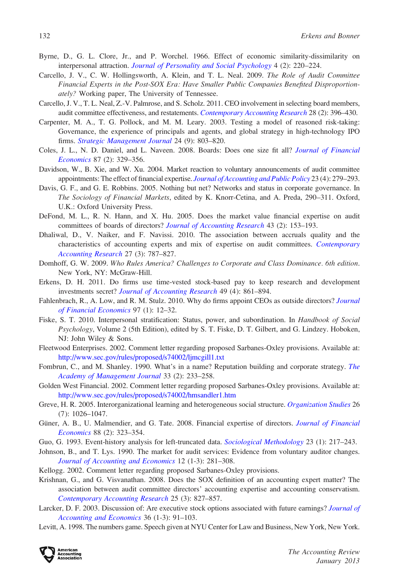- <span id="page-25-0"></span>Byrne, D., G. L. Clore, Jr., and P. Worchel. 1966. Effect of economic similarity-dissimilarity on interpersonal attraction. [Journal of Personality and Social Psychology](http://dx.doi.org/10.1037/h0023559) 4 (2): 220–224.
- Carcello, J. V., C. W. Hollingsworth, A. Klein, and T. L. Neal. 2009. The Role of Audit Committee Financial Experts in the Post-SOX Era: Have Smaller Public Companies Benefited Disproportionately? Working paper, The University of Tennessee.
- Carcello, J. V., T. L. Neal, Z.-V. Palmrose, and S. Scholz. 2011. CEO involvement in selecting board members, audit committee effectiveness, and restatements. [Contemporary Accounting Research](http://dx.doi.org/10.1111/j.1911-3846.2010.01052.x) 28 (2): 396–430.
- Carpenter, M. A., T. G. Pollock, and M. M. Leary. 2003. Testing a model of reasoned risk-taking: Governance, the experience of principals and agents, and global strategy in high-technology IPO firms. [Strategic Management Journal](http://dx.doi.org/10.1002/smj.338) 24 (9): 803–820.
- Coles, J. L., N. D. Daniel, and L. Naveen. 2008. Boards: Does one size fit all? [Journal of Financial](http://dx.doi.org/10.1016/j.jfineco.2006.08.008) [Economics](http://dx.doi.org/10.1016/j.jfineco.2006.08.008) 87 (2): 329–356.
- Davidson, W., B. Xie, and W. Xu. 2004. Market reaction to voluntary announcements of audit committee appointments: The effect of financial expertise. [Journal of Accounting and Public Policy](http://dx.doi.org/10.1016/j.jaccpubpol.2004.06.001) 23 (4): 279–293.
- Davis, G. F., and G. E. Robbins. 2005. Nothing but net? Networks and status in corporate governance. In The Sociology of Financial Markets, edited by K. Knorr-Cetina, and A. Preda, 290–311. Oxford, U.K.: Oxford University Press.
- DeFond, M. L., R. N. Hann, and X. Hu. 2005. Does the market value financial expertise on audit committees of boards of directors? *[Journal of Accounting Research](http://dx.doi.org/10.1111/j.1475-679x.2005.00166.x)* 43 (2): 153-193.
- Dhaliwal, D., V. Naiker, and F. Navissi. 2010. The association between accruals quality and the characteristics of accounting experts and mix of expertise on audit committees. [Contemporary](http://dx.doi.org/10.1111/j.1911-3846.2010.01027.x) [Accounting Research](http://dx.doi.org/10.1111/j.1911-3846.2010.01027.x) 27 (3): 787–827.
- Domhoff, G. W. 2009. Who Rules America? Challenges to Corporate and Class Dominance. 6th edition. New York, NY: McGraw-Hill.
- Erkens, D. H. 2011. Do firms use time-vested stock-based pay to keep research and development investments secret? [Journal of Accounting Research](http://dx.doi.org/10.1111/j.1475-679X.2011.00418.x) 49 (4): 861–894.
- Fahlenbrach, R., A. Low, and R. M. Stulz. 2010. Why do firms appoint CEOs as outside directors? [Journal](http://dx.doi.org/10.1016/j.jfineco.2010.01.003) [of Financial Economics](http://dx.doi.org/10.1016/j.jfineco.2010.01.003) 97 (1): 12–32.
- Fiske, S. T. 2010. Interpersonal stratification: Status, power, and subordination. In Handbook of Social Psychology, Volume 2 (5th Edition), edited by S. T. Fiske, D. T. Gilbert, and G. Lindzey. Hoboken, NJ: John Wiley & Sons.
- Fleetwood Enterprises. 2002. Comment letter regarding proposed Sarbanes-Oxley provisions. Available at: <http://www.sec.gov/rules/proposed/s74002/ljmcgill1.txt>
- Fombrun, C., and M. Shanley. 1990. What's in a name? Reputation building and corporate strategy. [The](http://dx.doi.org/10.2307/256324) [Academy of Management Journal](http://dx.doi.org/10.2307/256324) 33 (2): 233–258.
- Golden West Financial. 2002. Comment letter regarding proposed Sarbanes-Oxley provisions. Available at: <http://www.sec.gov/rules/proposed/s74002/hmsandler1.htm>
- Greve, H. R. 2005. Interorganizational learning and heterogeneous social structure. [Organization Studies](http://dx.doi.org/10.1177/0170840605053539) 26 (7): 1026–1047.
- Güner, A. B., U. Malmendier, and G. Tate. 2008. Financial expertise of directors. [Journal of Financial](http://dx.doi.org/10.1016/j.jfineco.2007.05.009) [Economics](http://dx.doi.org/10.1016/j.jfineco.2007.05.009) 88 (2): 323–354.
- Guo, G. 1993. Event-history analysis for left-truncated data. [Sociological Methodology](http://dx.doi.org/10.2307/271011) 23 (1): 217-243.
- Johnson, B., and T. Lys. 1990. The market for audit services: Evidence from voluntary auditor changes. [Journal of Accounting and Economics](http://dx.doi.org/10.1016/0165-4101(90)90051-5) 12 (1-3): 281–308.
- Kellogg. 2002. Comment letter regarding proposed Sarbanes-Oxley provisions.
- Krishnan, G., and G. Visvanathan. 2008. Does the SOX definition of an accounting expert matter? The association between audit committee directors' accounting expertise and accounting conservatism. [Contemporary Accounting Research](http://dx.doi.org/10.1506/car.25.3.7) 25 (3): 827–857.
- Larcker, D. F. 2003. Discussion of: Are executive stock options associated with future earnings? [Journal of](http://dx.doi.org/10.1016/j.jacceco.2003.10.009) [Accounting and Economics](http://dx.doi.org/10.1016/j.jacceco.2003.10.009) 36 (1-3): 91–103.
- Levitt, A. 1998. The numbers game. Speech given at NYU Center for Law and Business, New York, New York.

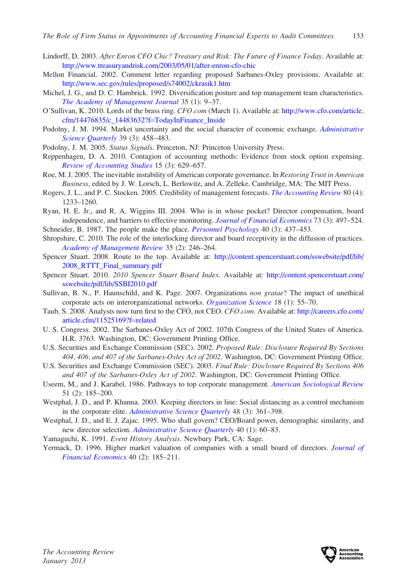- <span id="page-26-0"></span>Lindorff, D. 2003. After Enron CFO Chic? Treasury and Risk: The Future of Finance Today. Available at: <http://www.treasuryandrisk.com/2003/05/01/after-enron-cfo-chic>
- Mellon Financial. 2002. Comment letter regarding proposed Sarbanes-Oxley provisions. Available at: <http://www.sec.gov/rules/proposed/s74002/ckrasik1.htm>
- Michel, J. G., and D. C. Hambrick. 1992. Diversification posture and top management team characteristics. [The Academy of Management Journal](http://dx.doi.org/10.2307/256471) 35 (1): 9–37.
- O'Sullivan, K. 2010. Lords of the brass ring. CFO.com (March 1). Available at: [http://www.cfo.com/article.](http://www.cfo.com/article.cfm/14476835/c_14483632?f=TodayInFinance_Inside) [cfm/14476835/c\\_14483632?f](http://www.cfo.com/article.cfm/14476835/c_14483632?f=TodayInFinance_Inside)=TodayInFinance\_Inside
- Podolny, J. M. 1994. Market uncertainty and the social character of economic exchange. [Administrative](http://dx.doi.org/10.2307/2393299) [Science Quarterly](http://dx.doi.org/10.2307/2393299) 39 (3): 458-483.
- Podolny, J. M. 2005. Status Signals. Princeton, NJ: Princeton University Press.
- Reppenhagen, D. A. 2010. Contagion of accounting methods: Evidence from stock option expensing. [Review of Accounting Studies](http://dx.doi.org/10.1007/s11142-010-9128-1) 15 (3): 629–657.
- Roe, M. J. 2005. The inevitable instability of American corporate governance. In Restoring Trust in American Business, edited by J. W. Lorsch, L. Berlowitz, and A. Zelleke. Cambridge, MA: The MIT Press.
- Rogers, J. L., and P. C. Stocken. 2005. Credibility of management forecasts. [The Accounting Review](http://dx.doi.org/10.2308/accr.2005.80.4.1233) 80 (4): 1233–1260.
- Ryan, H. E. Jr., and R. A. Wiggins III. 2004. Who is in whose pocket? Director compensation, board independence, and barriers to effective monitoring. [Journal of Financial Economics](http://dx.doi.org/10.1016/j.jfineco.2003.11.002) 73 (3): 497–524.
- Schneider, B. 1987. The people make the place. *[Personnel Psychology](http://dx.doi.org/10.1111/j.1744-6570.1987.tb00609.x)* 40 (3): 437–453.
- Shropshire, C. 2010. The role of the interlocking director and board receptivity in the diffusion of practices. [Academy of Management Review](http://dx.doi.org/10.5465/AMR.2010.48463333) 35 (2): 246–264.
- Spencer Stuart. 2008. Route to the top. Available at: [http://content.spencerstuart.com/sswebsite/pdf/lib/](http://content.spencerstuart.com/sswebsite/pdf/lib/2008_RTTT_Final_summary.pdf) [2008\\_RTTT\\_Final\\_summary.pdf](http://content.spencerstuart.com/sswebsite/pdf/lib/2008_RTTT_Final_summary.pdf)
- Spencer Stuart. 2010. 2010 Spencer Stuart Board Index. Available at: [http://content.spencerstuart.com/](http://content.spencerstuart.com/sswebsite/pdf/lib/SSBI2010.pdf) [sswebsite/pdf/lib/SSBI2010.pdf](http://content.spencerstuart.com/sswebsite/pdf/lib/SSBI2010.pdf)
- Sullivan, B. N., P. Haunschild, and K. Page. 2007. Organizations non gratae? The impact of unethical corporate acts on interorganizational networks. [Organization Science](http://dx.doi.org/10.1287/orsc.1060.0229) 18 (1): 55–70.
- Taub, S. 2008. Analysts now turn first to the CFO, not CEO. CFO.com. Available at: [http://careers.cfo.com/](http://careers.cfo.com/article.cfm/11525169?f=related) [article.cfm/11525169?f](http://careers.cfo.com/article.cfm/11525169?f=related)=related
- U. S. Congress. 2002. The Sarbanes-Oxley Act of 2002. 107th Congress of the United States of America. H.R. 3763. Washington, DC: Government Printing Office.
- U.S. Securities and Exchange Commission (SEC). 2002. Proposed Rule: Disclosure Required By Sections 404, 406, and 407 of the Sarbanes-Oxley Act of 2002. Washington, DC: Government Printing Office.
- U.S. Securities and Exchange Commission (SEC). 2003. Final Rule: Disclosure Required By Sections 406 and 407 of the Sarbanes-Oxley Act of 2002. Washington, DC: Government Printing Office.
- Useem, M., and J. Karabel. 1986. Pathways to top corporate management. [American Sociological Review](http://dx.doi.org/10.2307/2095515) 51 (2): 185–200.
- Westphal, J. D., and P. Khanna. 2003. Keeping directors in line: Social distancing as a control mechanism in the corporate elite. [Administrative Science Quarterly](http://dx.doi.org/10.2307/3556678) 48 (3): 361-398.
- Westphal, J. D., and E. J. Zajac. 1995. Who shall govern? CEO/Board power, demographic similarity, and new director selection. [Administrative Science Quarterly](http://dx.doi.org/10.2307/2393700) 40 (1): 60–83.
- Yamaguchi, K. 1991. Event History Analysis. Newbury Park, CA: Sage.
- Yermack, D. 1996. Higher market valuation of companies with a small board of directors. [Journal of](http://dx.doi.org/10.1016/0304-405X(95)00844-5) [Financial Economics](http://dx.doi.org/10.1016/0304-405X(95)00844-5) 40 (2): 185–211.

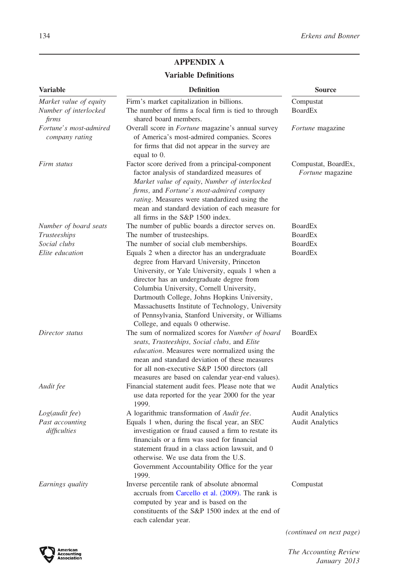# APPENDIX A

# Variable Definitions

| <b>Variable</b>                                          | <b>Definition</b>                                                                                                                                                                                                                                                                                                                                                                                                                    | <b>Source</b>                           |  |
|----------------------------------------------------------|--------------------------------------------------------------------------------------------------------------------------------------------------------------------------------------------------------------------------------------------------------------------------------------------------------------------------------------------------------------------------------------------------------------------------------------|-----------------------------------------|--|
| Market value of equity<br>Number of interlocked<br>firms | Firm's market capitalization in billions.<br>The number of firms a focal firm is tied to through<br>shared board members.                                                                                                                                                                                                                                                                                                            | Compustat<br><b>BoardEx</b>             |  |
| Fortune's most-admired<br>company rating                 | Overall score in <i>Fortune</i> magazine's annual survey<br>of America's most-admired companies. Scores<br>for firms that did not appear in the survey are<br>equal to 0.                                                                                                                                                                                                                                                            | Fortune magazine                        |  |
| Firm status                                              | Factor score derived from a principal-component<br>factor analysis of standardized measures of<br>Market value of equity, Number of interlocked<br>firms, and Fortune's most-admired company<br>rating. Measures were standardized using the<br>mean and standard deviation of each measure for<br>all firms in the S&P 1500 index.                                                                                                  | Compustat, BoardEx,<br>Fortune magazine |  |
| Number of board seats                                    | The number of public boards a director serves on.                                                                                                                                                                                                                                                                                                                                                                                    | <b>BoardEx</b>                          |  |
| Trusteeships                                             | The number of trusteeships.                                                                                                                                                                                                                                                                                                                                                                                                          | <b>BoardEx</b>                          |  |
| Social clubs                                             | The number of social club memberships.                                                                                                                                                                                                                                                                                                                                                                                               | <b>BoardEx</b>                          |  |
| Elite education                                          | Equals 2 when a director has an undergraduate<br>degree from Harvard University, Princeton<br>University, or Yale University, equals 1 when a<br>director has an undergraduate degree from<br>Columbia University, Cornell University,<br>Dartmouth College, Johns Hopkins University,<br>Massachusetts Institute of Technology, University<br>of Pennsylvania, Stanford University, or Williams<br>College, and equals 0 otherwise. | <b>BoardEx</b>                          |  |
| Director status                                          | The sum of normalized scores for Number of board<br>seats, Trusteeships, Social clubs, and Elite<br>education. Measures were normalized using the<br>mean and standard deviation of these measures<br>for all non-executive S&P 1500 directors (all<br>measures are based on calendar year-end values).                                                                                                                              | <b>BoardEx</b>                          |  |
| Audit fee                                                | Financial statement audit fees. Please note that we<br>use data reported for the year 2000 for the year<br>1999.                                                                                                                                                                                                                                                                                                                     | <b>Audit Analytics</b>                  |  |
| Log(audit fee)                                           | A logarithmic transformation of Audit fee.                                                                                                                                                                                                                                                                                                                                                                                           | <b>Audit Analytics</b>                  |  |
| Past accounting<br>difficulties                          | Equals 1 when, during the fiscal year, an SEC<br>investigation or fraud caused a firm to restate its<br>financials or a firm was sued for financial<br>statement fraud in a class action lawsuit, and 0<br>otherwise. We use data from the U.S.<br>Government Accountability Office for the year<br>1999.                                                                                                                            | <b>Audit Analytics</b>                  |  |
| Earnings quality                                         | Inverse percentile rank of absolute abnormal<br>accruals from Carcello et al. (2009). The rank is<br>computed by year and is based on the<br>constituents of the S&P 1500 index at the end of<br>each calendar year.                                                                                                                                                                                                                 | Compustat                               |  |



(continued on next page)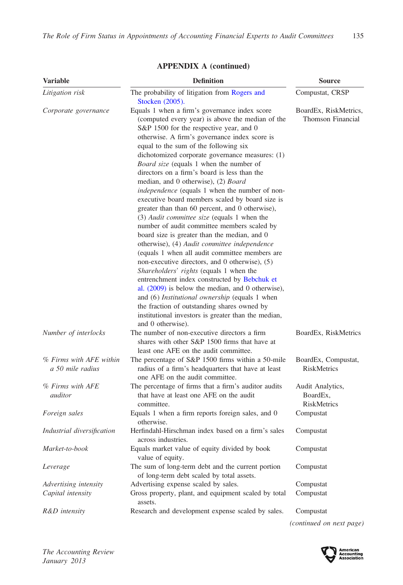| Variable                                    | <b>Definition</b>                                                                                                                                                                                                                                                                                                                                                                                                                                                                                                                                                                                                                                                                                                                                                                                                                                                                                                                                                                                                                                                                                                                                                                               | <b>Source</b>                                      |  |
|---------------------------------------------|-------------------------------------------------------------------------------------------------------------------------------------------------------------------------------------------------------------------------------------------------------------------------------------------------------------------------------------------------------------------------------------------------------------------------------------------------------------------------------------------------------------------------------------------------------------------------------------------------------------------------------------------------------------------------------------------------------------------------------------------------------------------------------------------------------------------------------------------------------------------------------------------------------------------------------------------------------------------------------------------------------------------------------------------------------------------------------------------------------------------------------------------------------------------------------------------------|----------------------------------------------------|--|
| Litigation risk                             | The probability of litigation from Rogers and<br>Stocken (2005).                                                                                                                                                                                                                                                                                                                                                                                                                                                                                                                                                                                                                                                                                                                                                                                                                                                                                                                                                                                                                                                                                                                                | Compustat, CRSP                                    |  |
| Corporate governance                        | Equals 1 when a firm's governance index score<br>(computed every year) is above the median of the<br>S&P 1500 for the respective year, and 0<br>otherwise. A firm's governance index score is<br>equal to the sum of the following six<br>dichotomized corporate governance measures: (1)<br>Board size (equals 1 when the number of<br>directors on a firm's board is less than the<br>median, and 0 otherwise), (2) Board<br>independence (equals 1 when the number of non-<br>executive board members scaled by board size is<br>greater than than 60 percent, and 0 otherwise),<br>(3) Audit committee size (equals 1 when the<br>number of audit committee members scaled by<br>board size is greater than the median, and 0<br>otherwise), (4) Audit committee independence<br>(equals 1 when all audit committee members are<br>non-executive directors, and 0 otherwise), (5)<br>Shareholders' rights (equals 1 when the<br>entrenchment index constructed by Bebchuk et<br>al. $(2009)$ is below the median, and 0 otherwise),<br>and (6) Institutional ownership (equals 1 when<br>the fraction of outstanding shares owned by<br>institutional investors is greater than the median, | BoardEx, RiskMetrics,<br>Thomson Financial         |  |
| Number of interlocks                        | and 0 otherwise).<br>The number of non-executive directors a firm<br>shares with other S&P 1500 firms that have at<br>least one AFE on the audit committee.                                                                                                                                                                                                                                                                                                                                                                                                                                                                                                                                                                                                                                                                                                                                                                                                                                                                                                                                                                                                                                     | BoardEx, RiskMetrics                               |  |
| % Firms with AFE within<br>a 50 mile radius | The percentage of S&P 1500 firms within a 50-mile<br>radius of a firm's headquarters that have at least<br>one AFE on the audit committee.                                                                                                                                                                                                                                                                                                                                                                                                                                                                                                                                                                                                                                                                                                                                                                                                                                                                                                                                                                                                                                                      | BoardEx, Compustat,<br><b>RiskMetrics</b>          |  |
| % Firms with AFE<br><i>auditor</i>          | The percentage of firms that a firm's auditor audits<br>that have at least one AFE on the audit<br>committee.                                                                                                                                                                                                                                                                                                                                                                                                                                                                                                                                                                                                                                                                                                                                                                                                                                                                                                                                                                                                                                                                                   | Audit Analytics,<br>BoardEx,<br><b>RiskMetrics</b> |  |
| Foreign sales                               | Equals 1 when a firm reports foreign sales, and 0<br>otherwise.                                                                                                                                                                                                                                                                                                                                                                                                                                                                                                                                                                                                                                                                                                                                                                                                                                                                                                                                                                                                                                                                                                                                 | Compustat                                          |  |
| Industrial diversification                  | Herfindahl-Hirschman index based on a firm's sales<br>across industries.                                                                                                                                                                                                                                                                                                                                                                                                                                                                                                                                                                                                                                                                                                                                                                                                                                                                                                                                                                                                                                                                                                                        | Compustat                                          |  |
| Market-to-book                              | Equals market value of equity divided by book<br>value of equity.                                                                                                                                                                                                                                                                                                                                                                                                                                                                                                                                                                                                                                                                                                                                                                                                                                                                                                                                                                                                                                                                                                                               | Compustat                                          |  |
| Leverage                                    | The sum of long-term debt and the current portion<br>of long-term debt scaled by total assets.                                                                                                                                                                                                                                                                                                                                                                                                                                                                                                                                                                                                                                                                                                                                                                                                                                                                                                                                                                                                                                                                                                  | Compustat                                          |  |
| Advertising intensity                       | Advertising expense scaled by sales.                                                                                                                                                                                                                                                                                                                                                                                                                                                                                                                                                                                                                                                                                                                                                                                                                                                                                                                                                                                                                                                                                                                                                            | Compustat                                          |  |
| Capital intensity                           | Gross property, plant, and equipment scaled by total<br>assets.                                                                                                                                                                                                                                                                                                                                                                                                                                                                                                                                                                                                                                                                                                                                                                                                                                                                                                                                                                                                                                                                                                                                 | Compustat                                          |  |
| R&D intensity                               | Research and development expense scaled by sales.                                                                                                                                                                                                                                                                                                                                                                                                                                                                                                                                                                                                                                                                                                                                                                                                                                                                                                                                                                                                                                                                                                                                               | Compustat                                          |  |

# APPENDIX A (continued)

(continued on next page)